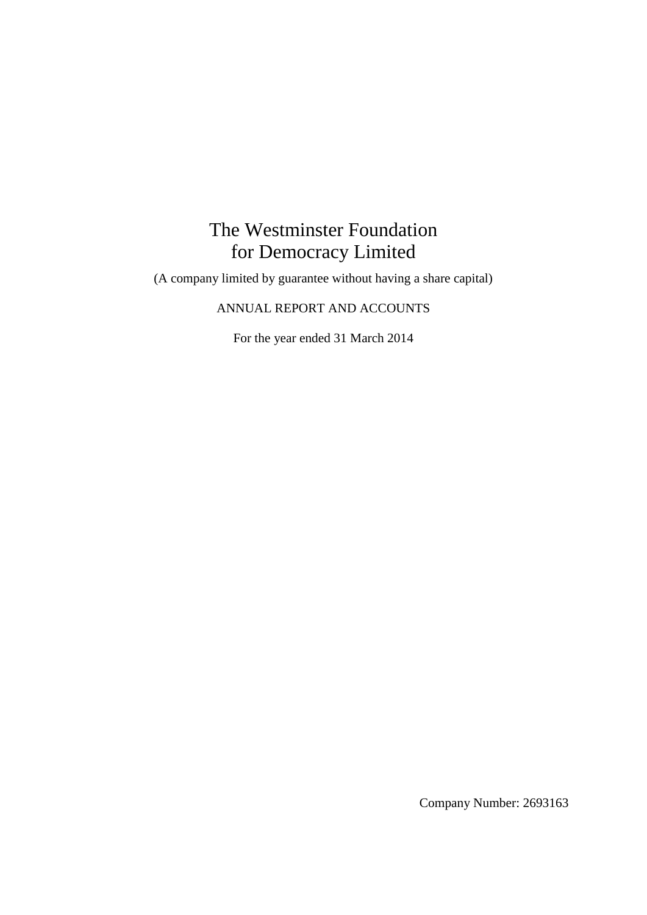# The Westminster Foundation for Democracy Limited

(A company limited by guarantee without having a share capital)

# ANNUAL REPORT AND ACCOUNTS

For the year ended 31 March 2014

Company Number: 2693163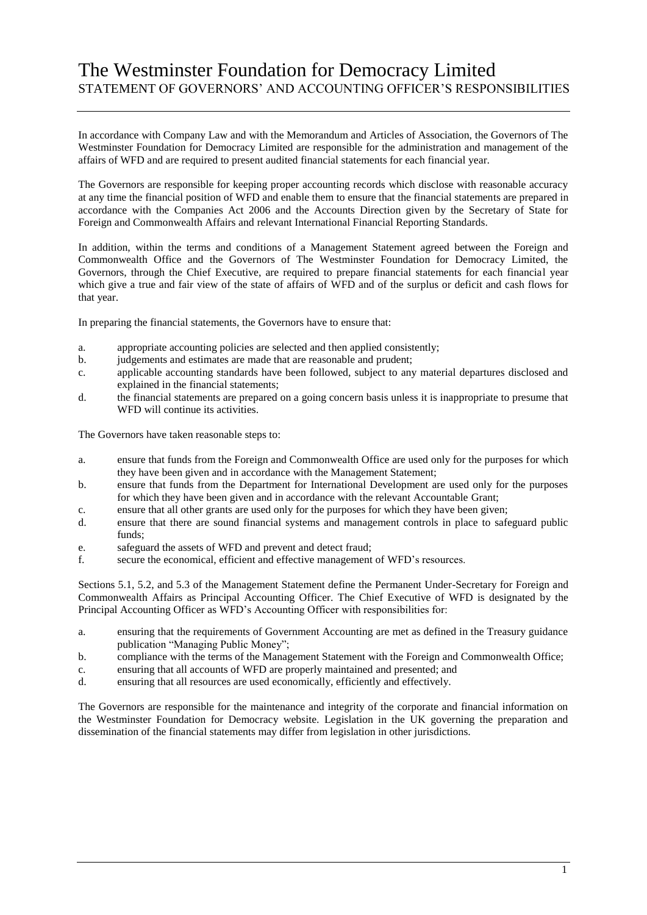# The Westminster Foundation for Democracy Limited STATEMENT OF GOVERNORS' AND ACCOUNTING OFFICER'S RESPONSIBILITIES

In accordance with Company Law and with the Memorandum and Articles of Association, the Governors of The Westminster Foundation for Democracy Limited are responsible for the administration and management of the affairs of WFD and are required to present audited financial statements for each financial year.

The Governors are responsible for keeping proper accounting records which disclose with reasonable accuracy at any time the financial position of WFD and enable them to ensure that the financial statements are prepared in accordance with the Companies Act 2006 and the Accounts Direction given by the Secretary of State for Foreign and Commonwealth Affairs and relevant International Financial Reporting Standards.

In addition, within the terms and conditions of a Management Statement agreed between the Foreign and Commonwealth Office and the Governors of The Westminster Foundation for Democracy Limited, the Governors, through the Chief Executive, are required to prepare financial statements for each financial year which give a true and fair view of the state of affairs of WFD and of the surplus or deficit and cash flows for that year.

In preparing the financial statements, the Governors have to ensure that:

- a. appropriate accounting policies are selected and then applied consistently;
- b. judgements and estimates are made that are reasonable and prudent;
- c. applicable accounting standards have been followed, subject to any material departures disclosed and explained in the financial statements;
- d. the financial statements are prepared on a going concern basis unless it is inappropriate to presume that WFD will continue its activities.

The Governors have taken reasonable steps to:

- a. ensure that funds from the Foreign and Commonwealth Office are used only for the purposes for which they have been given and in accordance with the Management Statement;
- b. ensure that funds from the Department for International Development are used only for the purposes for which they have been given and in accordance with the relevant Accountable Grant;
- c. ensure that all other grants are used only for the purposes for which they have been given;
- d. ensure that there are sound financial systems and management controls in place to safeguard public funds;
- e. safeguard the assets of WFD and prevent and detect fraud;
- f. secure the economical, efficient and effective management of WFD's resources.

Sections 5.1, 5.2, and 5.3 of the Management Statement define the Permanent Under-Secretary for Foreign and Commonwealth Affairs as Principal Accounting Officer. The Chief Executive of WFD is designated by the Principal Accounting Officer as WFD's Accounting Officer with responsibilities for:

- a. ensuring that the requirements of Government Accounting are met as defined in the Treasury guidance publication "Managing Public Money";
- b. compliance with the terms of the Management Statement with the Foreign and Commonwealth Office;
- c. ensuring that all accounts of WFD are properly maintained and presented; and
- d. ensuring that all resources are used economically, efficiently and effectively.

The Governors are responsible for the maintenance and integrity of the corporate and financial information on the Westminster Foundation for Democracy website. Legislation in the UK governing the preparation and dissemination of the financial statements may differ from legislation in other jurisdictions.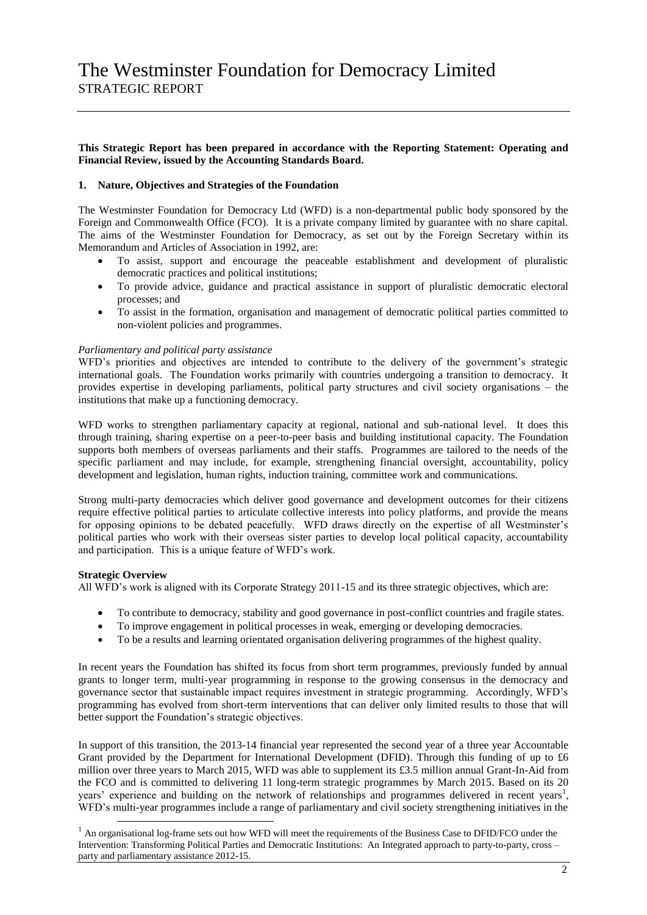#### **This Strategic Report has been prepared in accordance with the Reporting Statement: Operating and Financial Review, issued by the Accounting Standards Board.**

### **1. Nature, Objectives and Strategies of the Foundation**

The Westminster Foundation for Democracy Ltd (WFD) is a non-departmental public body sponsored by the Foreign and Commonwealth Office (FCO). It is a private company limited by guarantee with no share capital. The aims of the Westminster Foundation for Democracy, as set out by the Foreign Secretary within its Memorandum and Articles of Association in 1992, are:

- To assist, support and encourage the peaceable establishment and development of pluralistic democratic practices and political institutions;
- To provide advice, guidance and practical assistance in support of pluralistic democratic electoral processes; and
- To assist in the formation, organisation and management of democratic political parties committed to non-violent policies and programmes.

#### *Parliamentary and political party assistance*

WFD's priorities and objectives are intended to contribute to the delivery of the government's strategic international goals. The Foundation works primarily with countries undergoing a transition to democracy. It provides expertise in developing parliaments, political party structures and civil society organisations – the institutions that make up a functioning democracy.

WFD works to strengthen parliamentary capacity at regional, national and sub-national level. It does this through training, sharing expertise on a peer-to-peer basis and building institutional capacity. The Foundation supports both members of overseas parliaments and their staffs. Programmes are tailored to the needs of the specific parliament and may include, for example, strengthening financial oversight, accountability, policy development and legislation, human rights, induction training, committee work and communications.

Strong multi-party democracies which deliver good governance and development outcomes for their citizens require effective political parties to articulate collective interests into policy platforms, and provide the means for opposing opinions to be debated peacefully. WFD draws directly on the expertise of all Westminster's political parties who work with their overseas sister parties to develop local political capacity, accountability and participation. This is a unique feature of WFD's work.

#### **Strategic Overview**

-

All WFD's work is aligned with its Corporate Strategy 2011-15 and its three strategic objectives, which are:

- To contribute to democracy, stability and good governance in post-conflict countries and fragile states.
- To improve engagement in political processes in weak, emerging or developing democracies.
- To be a results and learning orientated organisation delivering programmes of the highest quality.

In recent years the Foundation has shifted its focus from short term programmes, previously funded by annual grants to longer term, multi-year programming in response to the growing consensus in the democracy and governance sector that sustainable impact requires investment in strategic programming. Accordingly, WFD's programming has evolved from short-term interventions that can deliver only limited results to those that will better support the Foundation's strategic objectives.

In support of this transition, the 2013-14 financial year represented the second year of a three year Accountable Grant provided by the Department for International Development (DFID). Through this funding of up to £6 million over three years to March 2015, WFD was able to supplement its £3.5 million annual Grant-In-Aid from the FCO and is committed to delivering 11 long-term strategic programmes by March 2015. Based on its 20 years' experience and building on the network of relationships and programmes delivered in recent years<sup>1</sup>, WFD's multi-year programmes include a range of parliamentary and civil society strengthening initiatives in the

<sup>&</sup>lt;sup>1</sup> An organisational log-frame sets out how WFD will meet the requirements of the Business Case to DFID/FCO under the Intervention: Transforming Political Parties and Democratic Institutions: An Integrated approach to party-to-party, cross – party and parliamentary assistance 2012-15.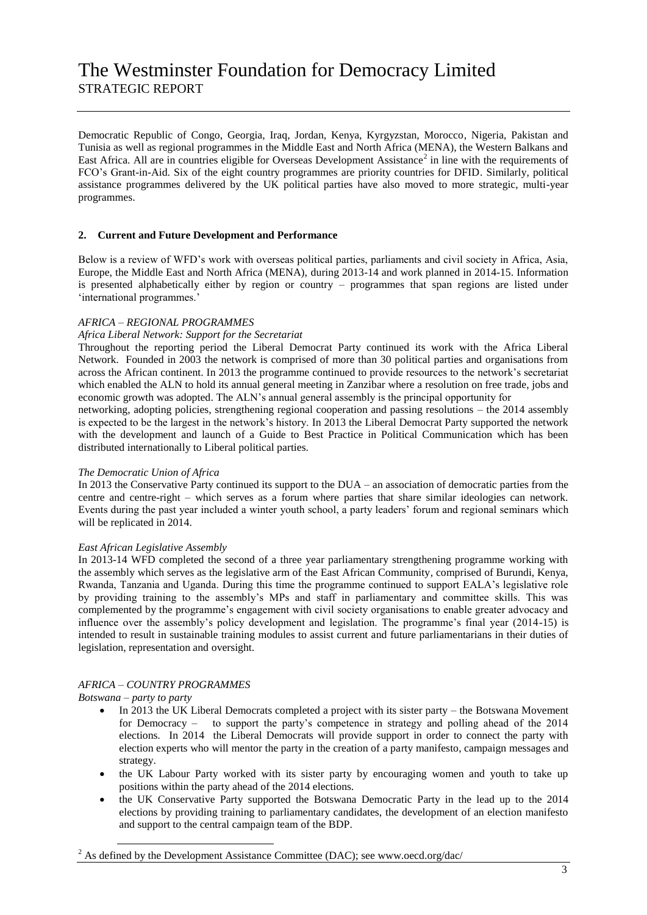Democratic Republic of Congo, Georgia, Iraq, Jordan, Kenya, Kyrgyzstan, Morocco, Nigeria, Pakistan and Tunisia as well as regional programmes in the Middle East and North Africa (MENA), the Western Balkans and East Africa. All are in countries eligible for Overseas Development Assistance<sup>2</sup> in line with the requirements of FCO's Grant-in-Aid. Six of the eight country programmes are priority countries for DFID. Similarly, political assistance programmes delivered by the UK political parties have also moved to more strategic, multi-year programmes.

### **2. Current and Future Development and Performance**

Below is a review of WFD's work with overseas political parties, parliaments and civil society in Africa, Asia, Europe, the Middle East and North Africa (MENA), during 2013-14 and work planned in 2014-15. Information is presented alphabetically either by region or country – programmes that span regions are listed under 'international programmes.'

### *AFRICA – REGIONAL PROGRAMMES*

#### *Africa Liberal Network: Support for the Secretariat*

Throughout the reporting period the Liberal Democrat Party continued its work with the Africa Liberal Network. Founded in 2003 the network is comprised of more than 30 political parties and organisations from across the African continent. In 2013 the programme continued to provide resources to the network's secretariat which enabled the ALN to hold its annual general meeting in Zanzibar where a resolution on free trade, jobs and economic growth was adopted. The ALN's annual general assembly is the principal opportunity for

networking, adopting policies, strengthening regional cooperation and passing resolutions – the 2014 assembly is expected to be the largest in the network's history. In 2013 the Liberal Democrat Party supported the network with the development and launch of a Guide to Best Practice in Political Communication which has been distributed internationally to Liberal political parties.

#### *The Democratic Union of Africa*

In 2013 the Conservative Party continued its support to the DUA – an association of democratic parties from the centre and centre-right – which serves as a forum where parties that share similar ideologies can network. Events during the past year included a winter youth school, a party leaders' forum and regional seminars which will be replicated in 2014.

#### *East African Legislative Assembly*

In 2013-14 WFD completed the second of a three year parliamentary strengthening programme working with the assembly which serves as the legislative arm of the East African Community, comprised of Burundi, Kenya, Rwanda, Tanzania and Uganda. During this time the programme continued to support EALA's legislative role by providing training to the assembly's MPs and staff in parliamentary and committee skills. This was complemented by the programme's engagement with civil society organisations to enable greater advocacy and influence over the assembly's policy development and legislation. The programme's final year (2014-15) is intended to result in sustainable training modules to assist current and future parliamentarians in their duties of legislation, representation and oversight.

#### *AFRICA – COUNTRY PROGRAMMES*

#### *Botswana – party to party*

-

- In 2013 the UK Liberal Democrats completed a project with its sister party the Botswana Movement for Democracy – to support the party's competence in strategy and polling ahead of the 2014 elections. In 2014 the Liberal Democrats will provide support in order to connect the party with election experts who will mentor the party in the creation of a party manifesto, campaign messages and strategy.
- the UK Labour Party worked with its sister party by encouraging women and youth to take up positions within the party ahead of the 2014 elections.
- the UK Conservative Party supported the Botswana Democratic Party in the lead up to the 2014 elections by providing training to parliamentary candidates, the development of an election manifesto and support to the central campaign team of the BDP.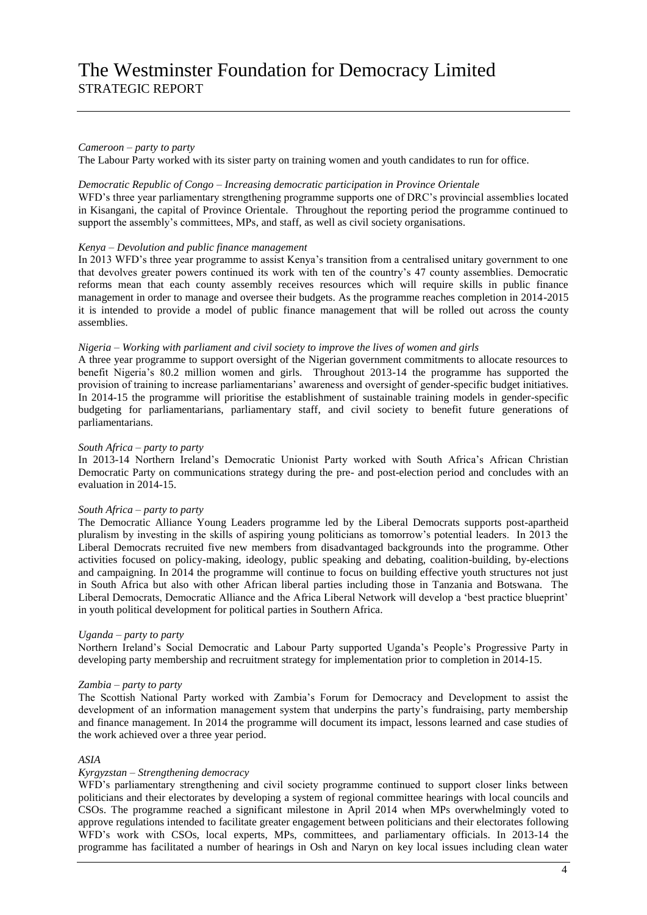#### *Cameroon – party to party*

The Labour Party worked with its sister party on training women and youth candidates to run for office.

#### *Democratic Republic of Congo – Increasing democratic participation in Province Orientale*

WFD's three year parliamentary strengthening programme supports one of DRC's provincial assemblies located in Kisangani, the capital of Province Orientale. Throughout the reporting period the programme continued to support the assembly's committees, MPs, and staff, as well as civil society organisations.

#### *Kenya – Devolution and public finance management*

In 2013 WFD's three year programme to assist Kenya's transition from a centralised unitary government to one that devolves greater powers continued its work with ten of the country's 47 county assemblies. Democratic reforms mean that each county assembly receives resources which will require skills in public finance management in order to manage and oversee their budgets. As the programme reaches completion in 2014-2015 it is intended to provide a model of public finance management that will be rolled out across the county assemblies.

#### *Nigeria – Working with parliament and civil society to improve the lives of women and girls*

A three year programme to support oversight of the Nigerian government commitments to allocate resources to benefit Nigeria's 80.2 million women and girls. Throughout 2013-14 the programme has supported the provision of training to increase parliamentarians' awareness and oversight of gender-specific budget initiatives. In 2014-15 the programme will prioritise the establishment of sustainable training models in gender-specific budgeting for parliamentarians, parliamentary staff, and civil society to benefit future generations of parliamentarians.

#### *South Africa – party to party*

In 2013-14 Northern Ireland's Democratic Unionist Party worked with South Africa's African Christian Democratic Party on communications strategy during the pre- and post-election period and concludes with an evaluation in 2014-15.

#### *South Africa – party to party*

The Democratic Alliance Young Leaders programme led by the Liberal Democrats supports post-apartheid pluralism by investing in the skills of aspiring young politicians as tomorrow's potential leaders. In 2013 the Liberal Democrats recruited five new members from disadvantaged backgrounds into the programme. Other activities focused on policy-making, ideology, public speaking and debating, coalition-building, by-elections and campaigning. In 2014 the programme will continue to focus on building effective youth structures not just in South Africa but also with other African liberal parties including those in Tanzania and Botswana. The Liberal Democrats, Democratic Alliance and the Africa Liberal Network will develop a 'best practice blueprint' in youth political development for political parties in Southern Africa.

#### *Uganda – party to party*

Northern Ireland's Social Democratic and Labour Party supported Uganda's People's Progressive Party in developing party membership and recruitment strategy for implementation prior to completion in 2014-15.

#### *Zambia – party to party*

The Scottish National Party worked with Zambia's Forum for Democracy and Development to assist the development of an information management system that underpins the party's fundraising, party membership and finance management. In 2014 the programme will document its impact, lessons learned and case studies of the work achieved over a three year period.

#### *ASIA*

#### *Kyrgyzstan – Strengthening democracy*

WFD's parliamentary strengthening and civil society programme continued to support closer links between politicians and their electorates by developing a system of regional committee hearings with local councils and CSOs. The programme reached a significant milestone in April 2014 when MPs overwhelmingly voted to approve regulations intended to facilitate greater engagement between politicians and their electorates following WFD's work with CSOs, local experts, MPs, committees, and parliamentary officials. In 2013-14 the programme has facilitated a number of hearings in Osh and Naryn on key local issues including clean water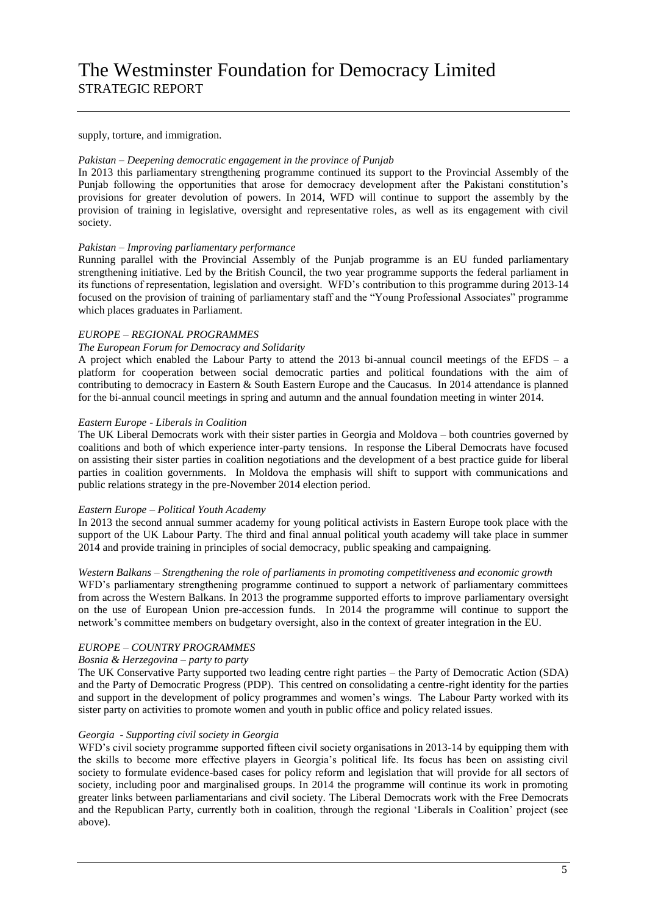supply, torture, and immigration.

#### *Pakistan – Deepening democratic engagement in the province of Punjab*

In 2013 this parliamentary strengthening programme continued its support to the Provincial Assembly of the Punjab following the opportunities that arose for democracy development after the Pakistani constitution's provisions for greater devolution of powers. In 2014, WFD will continue to support the assembly by the provision of training in legislative, oversight and representative roles, as well as its engagement with civil society.

#### *Pakistan – Improving parliamentary performance*

Running parallel with the Provincial Assembly of the Punjab programme is an EU funded parliamentary strengthening initiative. Led by the British Council, the two year programme supports the federal parliament in its functions of representation, legislation and oversight. WFD's contribution to this programme during 2013-14 focused on the provision of training of parliamentary staff and the "Young Professional Associates" programme which places graduates in Parliament.

#### *EUROPE – REGIONAL PROGRAMMES*

#### *The European Forum for Democracy and Solidarity*

A project which enabled the Labour Party to attend the 2013 bi-annual council meetings of the EFDS – a platform for cooperation between social democratic parties and political foundations with the aim of contributing to democracy in Eastern & South Eastern Europe and the Caucasus. In 2014 attendance is planned for the bi-annual council meetings in spring and autumn and the annual foundation meeting in winter 2014.

#### *Eastern Europe - Liberals in Coalition*

The UK Liberal Democrats work with their sister parties in Georgia and Moldova – both countries governed by coalitions and both of which experience inter-party tensions. In response the Liberal Democrats have focused on assisting their sister parties in coalition negotiations and the development of a best practice guide for liberal parties in coalition governments. In Moldova the emphasis will shift to support with communications and public relations strategy in the pre-November 2014 election period.

#### *Eastern Europe – Political Youth Academy*

In 2013 the second annual summer academy for young political activists in Eastern Europe took place with the support of the UK Labour Party. The third and final annual political youth academy will take place in summer 2014 and provide training in principles of social democracy, public speaking and campaigning.

#### *Western Balkans – Strengthening the role of parliaments in promoting competitiveness and economic growth*

WFD's parliamentary strengthening programme continued to support a network of parliamentary committees from across the Western Balkans. In 2013 the programme supported efforts to improve parliamentary oversight on the use of European Union pre-accession funds. In 2014 the programme will continue to support the network's committee members on budgetary oversight, also in the context of greater integration in the EU.

### *EUROPE – COUNTRY PROGRAMMES*

## *Bosnia & Herzegovina – party to party*

The UK Conservative Party supported two leading centre right parties – the Party of Democratic Action (SDA) and the Party of Democratic Progress (PDP). This centred on consolidating a centre-right identity for the parties and support in the development of policy programmes and women's wings. The Labour Party worked with its sister party on activities to promote women and youth in public office and policy related issues.

#### *Georgia - Supporting civil society in Georgia*

WFD's civil society programme supported fifteen civil society organisations in 2013-14 by equipping them with the skills to become more effective players in Georgia's political life. Its focus has been on assisting civil society to formulate evidence-based cases for policy reform and legislation that will provide for all sectors of society, including poor and marginalised groups. In 2014 the programme will continue its work in promoting greater links between parliamentarians and civil society. The Liberal Democrats work with the Free Democrats and the Republican Party, currently both in coalition, through the regional 'Liberals in Coalition' project (see above).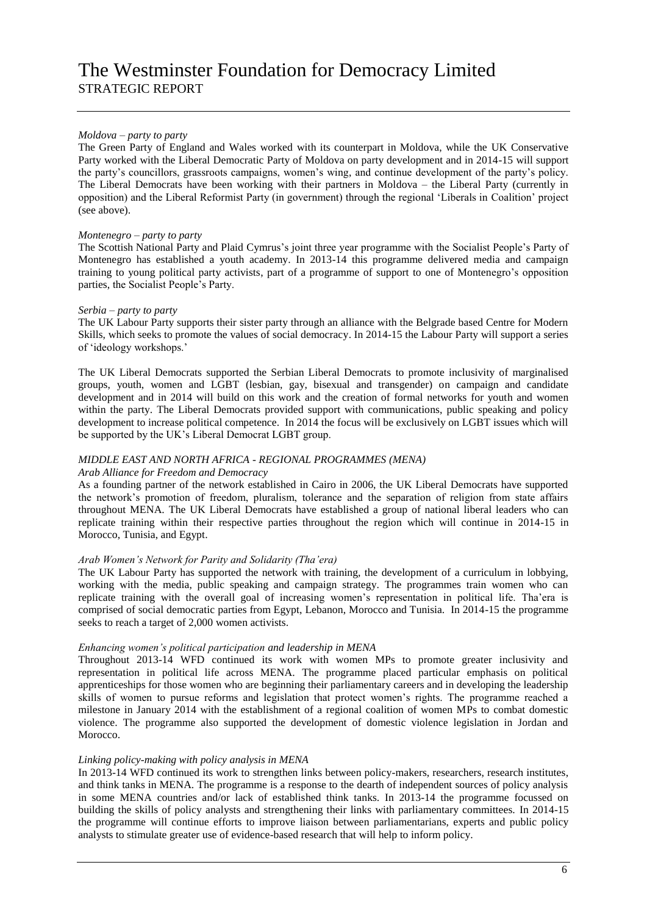### *Moldova – party to party*

The Green Party of England and Wales worked with its counterpart in Moldova, while the UK Conservative Party worked with the Liberal Democratic Party of Moldova on party development and in 2014-15 will support the party's councillors, grassroots campaigns, women's wing, and continue development of the party's policy. The Liberal Democrats have been working with their partners in Moldova – the Liberal Party (currently in opposition) and the Liberal Reformist Party (in government) through the regional 'Liberals in Coalition' project (see above).

#### *Montenegro – party to party*

The Scottish National Party and Plaid Cymrus's joint three year programme with the Socialist People's Party of Montenegro has established a youth academy. In 2013-14 this programme delivered media and campaign training to young political party activists, part of a programme of support to one of Montenegro's opposition parties, the Socialist People's Party.

#### *Serbia – party to party*

The UK Labour Party supports their sister party through an alliance with the Belgrade based Centre for Modern Skills, which seeks to promote the values of social democracy. In 2014-15 the Labour Party will support a series of 'ideology workshops.'

The UK Liberal Democrats supported the Serbian Liberal Democrats to promote inclusivity of marginalised groups, youth, women and LGBT (lesbian, gay, bisexual and transgender) on campaign and candidate development and in 2014 will build on this work and the creation of formal networks for youth and women within the party. The Liberal Democrats provided support with communications, public speaking and policy development to increase political competence. In 2014 the focus will be exclusively on LGBT issues which will be supported by the UK's Liberal Democrat LGBT group.

## *MIDDLE EAST AND NORTH AFRICA - REGIONAL PROGRAMMES (MENA)*

#### *Arab Alliance for Freedom and Democracy*

As a founding partner of the network established in Cairo in 2006, the UK Liberal Democrats have supported the network's promotion of freedom, pluralism, tolerance and the separation of religion from state affairs throughout MENA. The UK Liberal Democrats have established a group of national liberal leaders who can replicate training within their respective parties throughout the region which will continue in 2014-15 in Morocco, Tunisia, and Egypt.

## *Arab Women's Network for Parity and Solidarity (Tha'era)*

The UK Labour Party has supported the network with training, the development of a curriculum in lobbying, working with the media, public speaking and campaign strategy. The programmes train women who can replicate training with the overall goal of increasing women's representation in political life. Tha'era is comprised of social democratic parties from Egypt, Lebanon, Morocco and Tunisia. In 2014-15 the programme seeks to reach a target of 2,000 women activists.

#### *Enhancing women's political participation and leadership in MENA*

Throughout 2013-14 WFD continued its work with women MPs to promote greater inclusivity and representation in political life across MENA. The programme placed particular emphasis on political apprenticeships for those women who are beginning their parliamentary careers and in developing the leadership skills of women to pursue reforms and legislation that protect women's rights. The programme reached a milestone in January 2014 with the establishment of a regional coalition of women MPs to combat domestic violence. The programme also supported the development of domestic violence legislation in Jordan and Morocco.

#### *Linking policy-making with policy analysis in MENA*

In 2013-14 WFD continued its work to strengthen links between policy-makers, researchers, research institutes, and think tanks in MENA. The programme is a response to the dearth of independent sources of policy analysis in some MENA countries and/or lack of established think tanks. In 2013-14 the programme focussed on building the skills of policy analysts and strengthening their links with parliamentary committees. In 2014-15 the programme will continue efforts to improve liaison between parliamentarians, experts and public policy analysts to stimulate greater use of evidence-based research that will help to inform policy.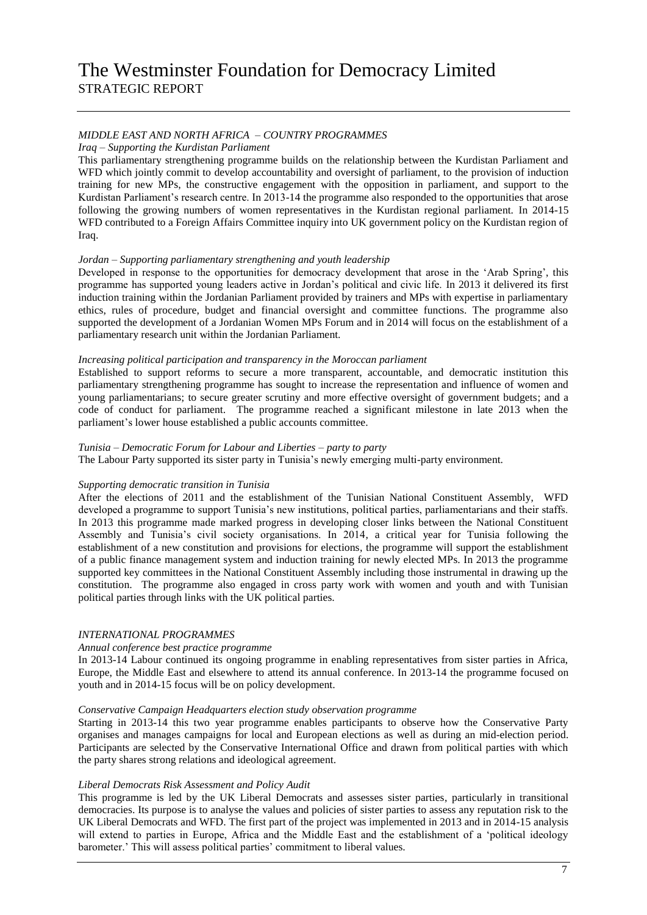## *MIDDLE EAST AND NORTH AFRICA – COUNTRY PROGRAMMES*

#### *Iraq – Supporting the Kurdistan Parliament*

This parliamentary strengthening programme builds on the relationship between the Kurdistan Parliament and WFD which jointly commit to develop accountability and oversight of parliament, to the provision of induction training for new MPs, the constructive engagement with the opposition in parliament, and support to the Kurdistan Parliament's research centre. In 2013-14 the programme also responded to the opportunities that arose following the growing numbers of women representatives in the Kurdistan regional parliament. In 2014-15 WFD contributed to a Foreign Affairs Committee inquiry into UK government policy on the Kurdistan region of Iraq.

#### *Jordan – Supporting parliamentary strengthening and youth leadership*

Developed in response to the opportunities for democracy development that arose in the 'Arab Spring', this programme has supported young leaders active in Jordan's political and civic life. In 2013 it delivered its first induction training within the Jordanian Parliament provided by trainers and MPs with expertise in parliamentary ethics, rules of procedure, budget and financial oversight and committee functions. The programme also supported the development of a Jordanian Women MPs Forum and in 2014 will focus on the establishment of a parliamentary research unit within the Jordanian Parliament.

#### *Increasing political participation and transparency in the Moroccan parliament*

Established to support reforms to secure a more transparent, accountable, and democratic institution this parliamentary strengthening programme has sought to increase the representation and influence of women and young parliamentarians; to secure greater scrutiny and more effective oversight of government budgets; and a code of conduct for parliament. The programme reached a significant milestone in late 2013 when the parliament's lower house established a public accounts committee.

#### *Tunisia – Democratic Forum for Labour and Liberties – party to party*

The Labour Party supported its sister party in Tunisia's newly emerging multi-party environment.

## *Supporting democratic transition in Tunisia*

After the elections of 2011 and the establishment of the Tunisian National Constituent Assembly, WFD developed a programme to support Tunisia's new institutions, political parties, parliamentarians and their staffs. In 2013 this programme made marked progress in developing closer links between the National Constituent Assembly and Tunisia's civil society organisations. In 2014, a critical year for Tunisia following the establishment of a new constitution and provisions for elections, the programme will support the establishment of a public finance management system and induction training for newly elected MPs. In 2013 the programme supported key committees in the National Constituent Assembly including those instrumental in drawing up the constitution. The programme also engaged in cross party work with women and youth and with Tunisian political parties through links with the UK political parties.

#### *INTERNATIONAL PROGRAMMES*

### *Annual conference best practice programme*

In 2013-14 Labour continued its ongoing programme in enabling representatives from sister parties in Africa, Europe, the Middle East and elsewhere to attend its annual conference. In 2013-14 the programme focused on youth and in 2014-15 focus will be on policy development.

#### *Conservative Campaign Headquarters election study observation programme*

Starting in 2013-14 this two year programme enables participants to observe how the Conservative Party organises and manages campaigns for local and European elections as well as during an mid-election period. Participants are selected by the Conservative International Office and drawn from political parties with which the party shares strong relations and ideological agreement.

#### *Liberal Democrats Risk Assessment and Policy Audit*

This programme is led by the UK Liberal Democrats and assesses sister parties, particularly in transitional democracies. Its purpose is to analyse the values and policies of sister parties to assess any reputation risk to the UK Liberal Democrats and WFD. The first part of the project was implemented in 2013 and in 2014-15 analysis will extend to parties in Europe, Africa and the Middle East and the establishment of a 'political ideology barometer.' This will assess political parties' commitment to liberal values.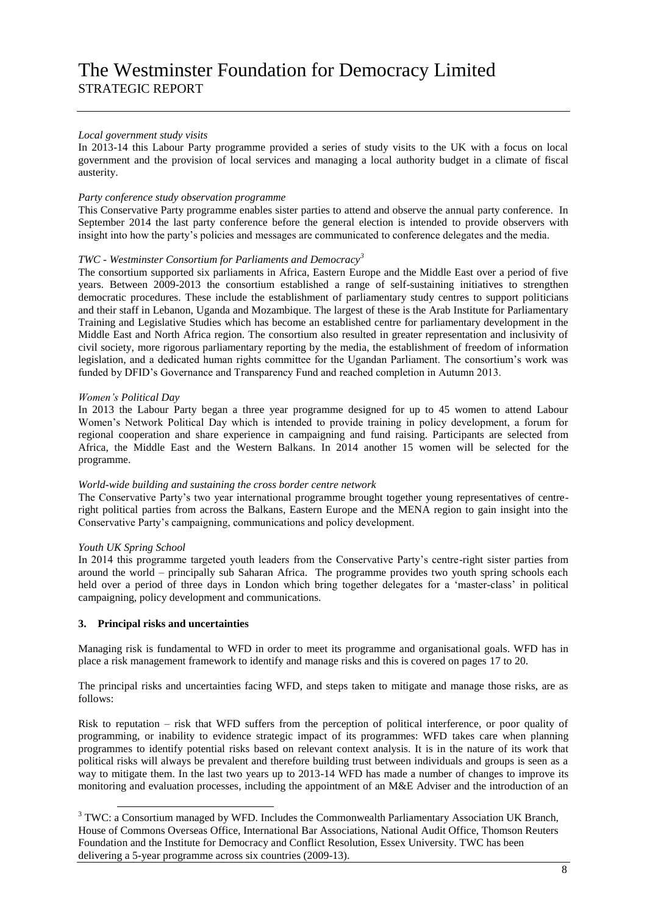### *Local government study visits*

In 2013-14 this Labour Party programme provided a series of study visits to the UK with a focus on local government and the provision of local services and managing a local authority budget in a climate of fiscal austerity.

#### *Party conference study observation programme*

This Conservative Party programme enables sister parties to attend and observe the annual party conference. In September 2014 the last party conference before the general election is intended to provide observers with insight into how the party's policies and messages are communicated to conference delegates and the media.

### *TWC - Westminster Consortium for Parliaments and Democracy<sup>3</sup>*

The consortium supported six parliaments in Africa, Eastern Europe and the Middle East over a period of five years. Between 2009-2013 the consortium established a range of self-sustaining initiatives to strengthen democratic procedures. These include the establishment of parliamentary study centres to support politicians and their staff in Lebanon, Uganda and Mozambique. The largest of these is the Arab Institute for Parliamentary Training and Legislative Studies which has become an established centre for parliamentary development in the Middle East and North Africa region. The consortium also resulted in greater representation and inclusivity of civil society, more rigorous parliamentary reporting by the media, the establishment of freedom of information legislation, and a dedicated human rights committee for the Ugandan Parliament. The consortium's work was funded by DFID's Governance and Transparency Fund and reached completion in Autumn 2013.

#### *Women's Political Day*

In 2013 the Labour Party began a three year programme designed for up to 45 women to attend Labour Women's Network Political Day which is intended to provide training in policy development, a forum for regional cooperation and share experience in campaigning and fund raising. Participants are selected from Africa, the Middle East and the Western Balkans. In 2014 another 15 women will be selected for the programme.

#### *World-wide building and sustaining the cross border centre network*

The Conservative Party's two year international programme brought together young representatives of centreright political parties from across the Balkans, Eastern Europe and the MENA region to gain insight into the Conservative Party's campaigning, communications and policy development.

#### *Youth UK Spring School*

-

In 2014 this programme targeted youth leaders from the Conservative Party's centre-right sister parties from around the world – principally sub Saharan Africa. The programme provides two youth spring schools each held over a period of three days in London which bring together delegates for a 'master-class' in political campaigning, policy development and communications.

#### **3. Principal risks and uncertainties**

Managing risk is fundamental to WFD in order to meet its programme and organisational goals. WFD has in place a risk management framework to identify and manage risks and this is covered on pages 17 to 20.

The principal risks and uncertainties facing WFD, and steps taken to mitigate and manage those risks, are as follows:

Risk to reputation – risk that WFD suffers from the perception of political interference, or poor quality of programming, or inability to evidence strategic impact of its programmes: WFD takes care when planning programmes to identify potential risks based on relevant context analysis. It is in the nature of its work that political risks will always be prevalent and therefore building trust between individuals and groups is seen as a way to mitigate them. In the last two years up to 2013-14 WFD has made a number of changes to improve its monitoring and evaluation processes, including the appointment of an M&E Adviser and the introduction of an

<sup>&</sup>lt;sup>3</sup> TWC: a Consortium managed by WFD. Includes the Commonwealth Parliamentary Association UK Branch, House of Commons Overseas Office, International Bar Associations, National Audit Office, Thomson Reuters Foundation and the Institute for Democracy and Conflict Resolution, Essex University. TWC has been delivering a 5-year programme across six countries (2009-13).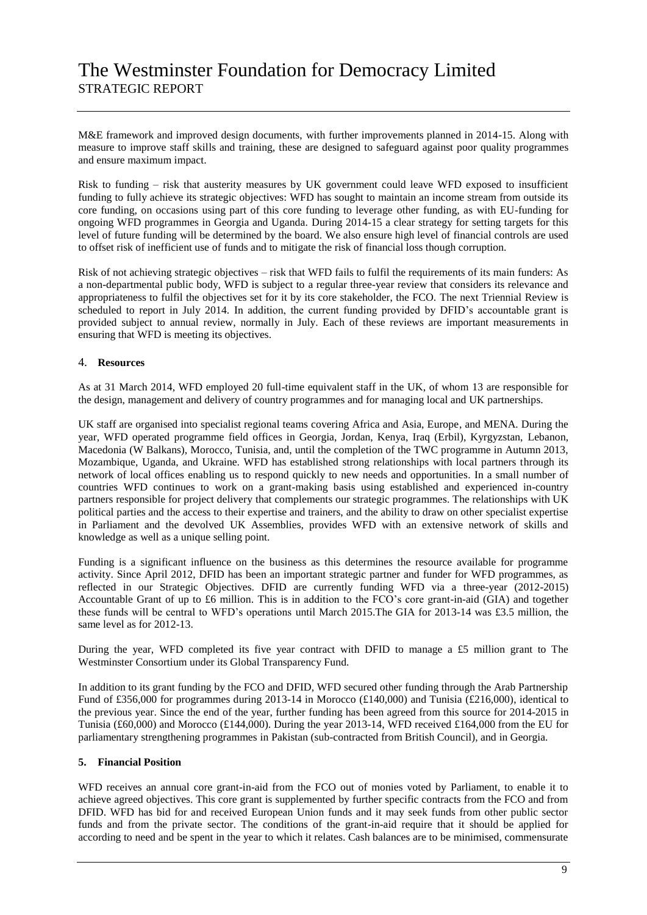M&E framework and improved design documents, with further improvements planned in 2014-15. Along with measure to improve staff skills and training, these are designed to safeguard against poor quality programmes and ensure maximum impact.

Risk to funding – risk that austerity measures by UK government could leave WFD exposed to insufficient funding to fully achieve its strategic objectives: WFD has sought to maintain an income stream from outside its core funding, on occasions using part of this core funding to leverage other funding, as with EU-funding for ongoing WFD programmes in Georgia and Uganda. During 2014-15 a clear strategy for setting targets for this level of future funding will be determined by the board. We also ensure high level of financial controls are used to offset risk of inefficient use of funds and to mitigate the risk of financial loss though corruption.

Risk of not achieving strategic objectives – risk that WFD fails to fulfil the requirements of its main funders: As a non-departmental public body, WFD is subject to a regular three-year review that considers its relevance and appropriateness to fulfil the objectives set for it by its core stakeholder, the FCO. The next Triennial Review is scheduled to report in July 2014. In addition, the current funding provided by DFID's accountable grant is provided subject to annual review, normally in July. Each of these reviews are important measurements in ensuring that WFD is meeting its objectives.

### 4. **Resources**

As at 31 March 2014, WFD employed 20 full-time equivalent staff in the UK, of whom 13 are responsible for the design, management and delivery of country programmes and for managing local and UK partnerships.

UK staff are organised into specialist regional teams covering Africa and Asia, Europe, and MENA. During the year, WFD operated programme field offices in Georgia, Jordan, Kenya, Iraq (Erbil), Kyrgyzstan, Lebanon, Macedonia (W Balkans), Morocco, Tunisia, and, until the completion of the TWC programme in Autumn 2013, Mozambique, Uganda, and Ukraine. WFD has established strong relationships with local partners through its network of local offices enabling us to respond quickly to new needs and opportunities. In a small number of countries WFD continues to work on a grant-making basis using established and experienced in-country partners responsible for project delivery that complements our strategic programmes. The relationships with UK political parties and the access to their expertise and trainers, and the ability to draw on other specialist expertise in Parliament and the devolved UK Assemblies, provides WFD with an extensive network of skills and knowledge as well as a unique selling point.

Funding is a significant influence on the business as this determines the resource available for programme activity. Since April 2012, DFID has been an important strategic partner and funder for WFD programmes, as reflected in our Strategic Objectives. DFID are currently funding WFD via a three-year (2012-2015) Accountable Grant of up to £6 million. This is in addition to the FCO's core grant-in-aid (GIA) and together these funds will be central to WFD's operations until March 2015.The GIA for 2013-14 was £3.5 million, the same level as for 2012-13.

During the year, WFD completed its five year contract with DFID to manage a £5 million grant to The Westminster Consortium under its Global Transparency Fund.

In addition to its grant funding by the FCO and DFID, WFD secured other funding through the Arab Partnership Fund of £356,000 for programmes during 2013-14 in Morocco (£140,000) and Tunisia (£216,000), identical to the previous year. Since the end of the year, further funding has been agreed from this source for 2014-2015 in Tunisia (£60,000) and Morocco (£144,000). During the year 2013-14, WFD received £164,000 from the EU for parliamentary strengthening programmes in Pakistan (sub-contracted from British Council), and in Georgia.

#### **5. Financial Position**

WFD receives an annual core grant-in-aid from the FCO out of monies voted by Parliament, to enable it to achieve agreed objectives. This core grant is supplemented by further specific contracts from the FCO and from DFID. WFD has bid for and received European Union funds and it may seek funds from other public sector funds and from the private sector. The conditions of the grant-in-aid require that it should be applied for according to need and be spent in the year to which it relates. Cash balances are to be minimised, commensurate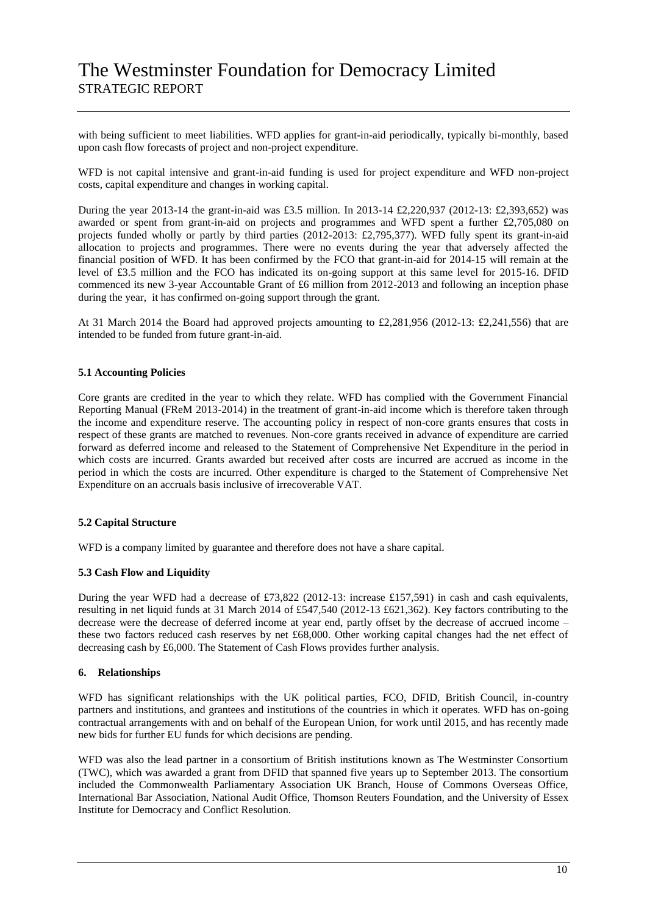with being sufficient to meet liabilities. WFD applies for grant-in-aid periodically, typically bi-monthly, based upon cash flow forecasts of project and non-project expenditure.

WFD is not capital intensive and grant-in-aid funding is used for project expenditure and WFD non-project costs, capital expenditure and changes in working capital.

During the year 2013-14 the grant-in-aid was £3.5 million. In 2013-14 £2,220,937 (2012-13: £2,393,652) was awarded or spent from grant-in-aid on projects and programmes and WFD spent a further £2,705,080 on projects funded wholly or partly by third parties  $(2012{\text -}2013{\text :} \text{\pounds}2,795,377)$ . WFD fully spent its grant-in-aid allocation to projects and programmes. There were no events during the year that adversely affected the financial position of WFD. It has been confirmed by the FCO that grant-in-aid for 2014-15 will remain at the level of £3.5 million and the FCO has indicated its on-going support at this same level for 2015-16. DFID commenced its new 3-year Accountable Grant of £6 million from 2012-2013 and following an inception phase during the year, it has confirmed on-going support through the grant.

At 31 March 2014 the Board had approved projects amounting to £2,281,956 (2012-13: £2,241,556) that are intended to be funded from future grant-in-aid.

#### **5.1 Accounting Policies**

Core grants are credited in the year to which they relate. WFD has complied with the Government Financial Reporting Manual (FReM 2013-2014) in the treatment of grant-in-aid income which is therefore taken through the income and expenditure reserve. The accounting policy in respect of non-core grants ensures that costs in respect of these grants are matched to revenues. Non-core grants received in advance of expenditure are carried forward as deferred income and released to the Statement of Comprehensive Net Expenditure in the period in which costs are incurred. Grants awarded but received after costs are incurred are accrued as income in the period in which the costs are incurred. Other expenditure is charged to the Statement of Comprehensive Net Expenditure on an accruals basis inclusive of irrecoverable VAT.

#### **5.2 Capital Structure**

WFD is a company limited by guarantee and therefore does not have a share capital.

#### **5.3 Cash Flow and Liquidity**

During the year WFD had a decrease of £73,822 (2012-13: increase £157,591) in cash and cash equivalents, resulting in net liquid funds at 31 March 2014 of £547,540 (2012-13 £621,362). Key factors contributing to the decrease were the decrease of deferred income at year end, partly offset by the decrease of accrued income – these two factors reduced cash reserves by net £68,000. Other working capital changes had the net effect of decreasing cash by £6,000. The Statement of Cash Flows provides further analysis.

#### **6. Relationships**

WFD has significant relationships with the UK political parties, FCO, DFID, British Council, in-country partners and institutions, and grantees and institutions of the countries in which it operates. WFD has on-going contractual arrangements with and on behalf of the European Union, for work until 2015, and has recently made new bids for further EU funds for which decisions are pending.

WFD was also the lead partner in a consortium of British institutions known as The Westminster Consortium (TWC), which was awarded a grant from DFID that spanned five years up to September 2013. The consortium included the Commonwealth Parliamentary Association UK Branch, House of Commons Overseas Office, International Bar Association, National Audit Office, Thomson Reuters Foundation, and the University of Essex Institute for Democracy and Conflict Resolution.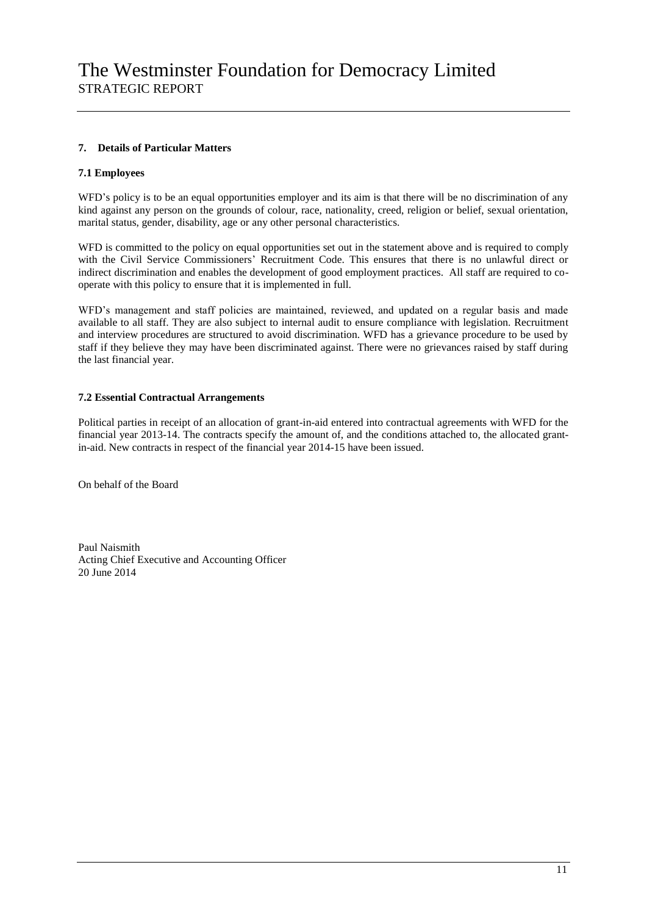## **7. Details of Particular Matters**

### **7.1 Employees**

WFD's policy is to be an equal opportunities employer and its aim is that there will be no discrimination of any kind against any person on the grounds of colour, race, nationality, creed, religion or belief, sexual orientation, marital status, gender, disability, age or any other personal characteristics.

WFD is committed to the policy on equal opportunities set out in the statement above and is required to comply with the Civil Service Commissioners' Recruitment Code. This ensures that there is no unlawful direct or indirect discrimination and enables the development of good employment practices. All staff are required to cooperate with this policy to ensure that it is implemented in full.

WFD's management and staff policies are maintained, reviewed, and updated on a regular basis and made available to all staff. They are also subject to internal audit to ensure compliance with legislation. Recruitment and interview procedures are structured to avoid discrimination. WFD has a grievance procedure to be used by staff if they believe they may have been discriminated against. There were no grievances raised by staff during the last financial year.

### **7.2 Essential Contractual Arrangements**

Political parties in receipt of an allocation of grant-in-aid entered into contractual agreements with WFD for the financial year 2013-14. The contracts specify the amount of, and the conditions attached to, the allocated grantin-aid. New contracts in respect of the financial year 2014-15 have been issued.

On behalf of the Board

Paul Naismith Acting Chief Executive and Accounting Officer 20 June 2014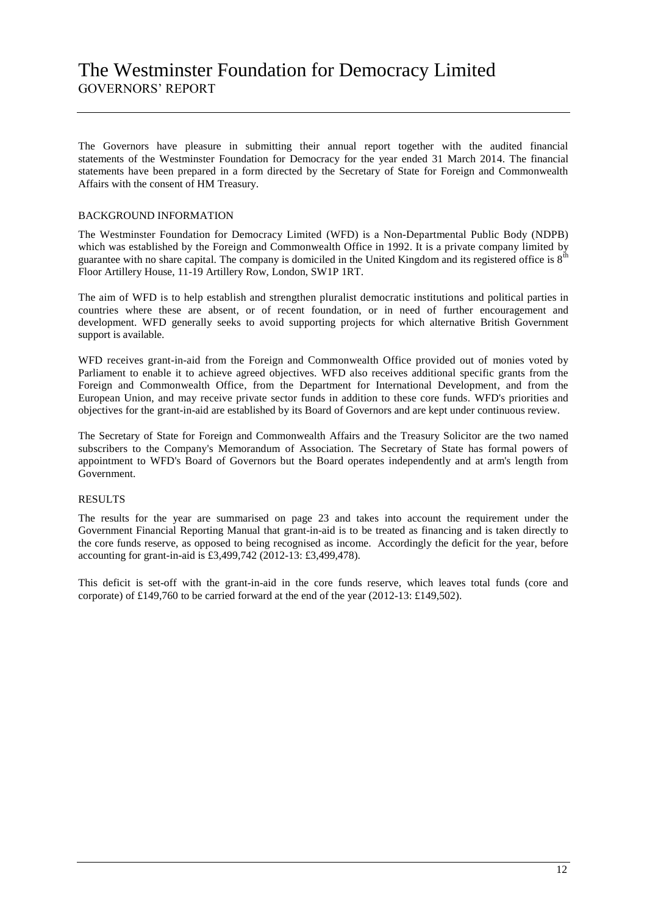# The Westminster Foundation for Democracy Limited GOVERNORS' REPORT

The Governors have pleasure in submitting their annual report together with the audited financial statements of the Westminster Foundation for Democracy for the year ended 31 March 2014. The financial statements have been prepared in a form directed by the Secretary of State for Foreign and Commonwealth Affairs with the consent of HM Treasury.

### BACKGROUND INFORMATION

The Westminster Foundation for Democracy Limited (WFD) is a Non-Departmental Public Body (NDPB) which was established by the Foreign and Commonwealth Office in 1992. It is a private company limited by guarantee with no share capital. The company is domiciled in the United Kingdom and its registered office is  $8<sup>th</sup>$ Floor Artillery House, 11-19 Artillery Row, London, SW1P 1RT.

The aim of WFD is to help establish and strengthen pluralist democratic institutions and political parties in countries where these are absent, or of recent foundation, or in need of further encouragement and development. WFD generally seeks to avoid supporting projects for which alternative British Government support is available.

WFD receives grant-in-aid from the Foreign and Commonwealth Office provided out of monies voted by Parliament to enable it to achieve agreed objectives. WFD also receives additional specific grants from the Foreign and Commonwealth Office, from the Department for International Development, and from the European Union, and may receive private sector funds in addition to these core funds. WFD's priorities and objectives for the grant-in-aid are established by its Board of Governors and are kept under continuous review.

The Secretary of State for Foreign and Commonwealth Affairs and the Treasury Solicitor are the two named subscribers to the Company's Memorandum of Association. The Secretary of State has formal powers of appointment to WFD's Board of Governors but the Board operates independently and at arm's length from Government.

#### RESULTS

The results for the year are summarised on page 23 and takes into account the requirement under the Government Financial Reporting Manual that grant-in-aid is to be treated as financing and is taken directly to the core funds reserve, as opposed to being recognised as income. Accordingly the deficit for the year, before accounting for grant-in-aid is £3,499,742 (2012-13: £3,499,478).

This deficit is set-off with the grant-in-aid in the core funds reserve, which leaves total funds (core and corporate) of £149,760 to be carried forward at the end of the year (2012-13: £149,502).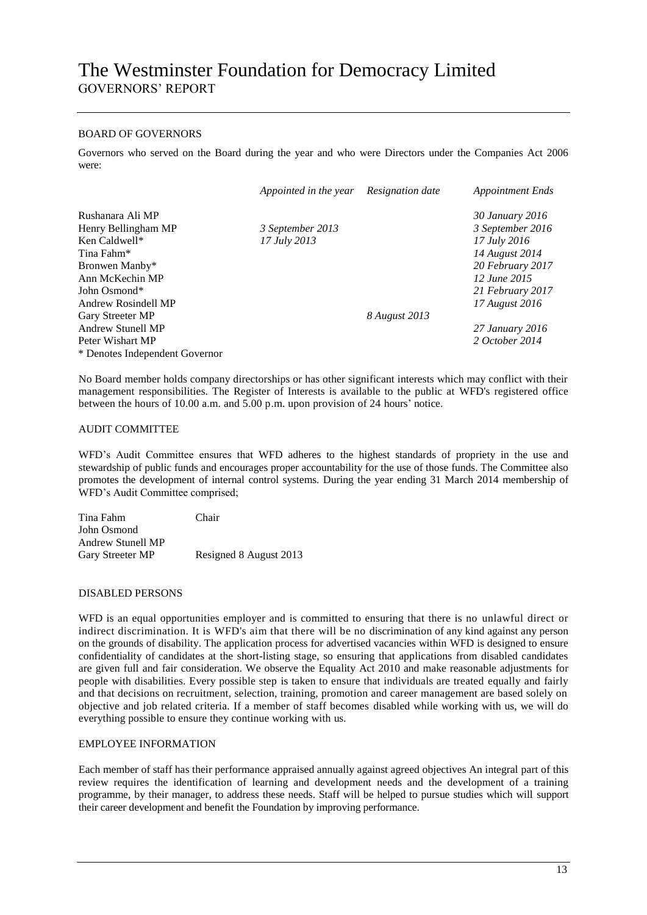### BOARD OF GOVERNORS

Governors who served on the Board during the year and who were Directors under the Companies Act 2006 were:

|                                | Appointed in the year | Resignation date | <b>Appointment Ends</b> |
|--------------------------------|-----------------------|------------------|-------------------------|
| Rushanara Ali MP               |                       |                  | 30 January 2016         |
| Henry Bellingham MP            | 3 September 2013      |                  | 3 September 2016        |
| Ken Caldwell*                  | 17 July 2013          |                  | 17 July 2016            |
| Tina Fahm*                     |                       |                  | 14 August 2014          |
| Bronwen Manby*                 |                       |                  | 20 February 2017        |
| Ann McKechin MP                |                       |                  | 12 June 2015            |
| John Osmond*                   |                       |                  | 21 February 2017        |
| Andrew Rosindell MP            |                       |                  | 17 August 2016          |
| Gary Streeter MP               |                       | 8 August 2013    |                         |
| Andrew Stunell MP              |                       |                  | 27 January 2016         |
| Peter Wishart MP               |                       |                  | 2 October 2014          |
| * Denotes Independent Governor |                       |                  |                         |

No Board member holds company directorships or has other significant interests which may conflict with their management responsibilities. The Register of Interests is available to the public at WFD's registered office between the hours of 10.00 a.m. and 5.00 p.m. upon provision of 24 hours' notice.

#### AUDIT COMMITTEE

WFD's Audit Committee ensures that WFD adheres to the highest standards of propriety in the use and stewardship of public funds and encourages proper accountability for the use of those funds. The Committee also promotes the development of internal control systems. During the year ending 31 March 2014 membership of WFD's Audit Committee comprised;

| Chair                  |
|------------------------|
|                        |
|                        |
| Resigned 8 August 2013 |
|                        |

#### DISABLED PERSONS

WFD is an equal opportunities employer and is committed to ensuring that there is no unlawful direct or indirect discrimination. It is WFD's aim that there will be no discrimination of any kind against any person on the grounds of disability. The application process for advertised vacancies within WFD is designed to ensure confidentiality of candidates at the short-listing stage, so ensuring that applications from disabled candidates are given full and fair consideration. We observe the Equality Act 2010 and make reasonable adjustments for people with disabilities. Every possible step is taken to ensure that individuals are treated equally and fairly and that decisions on recruitment, selection, training, promotion and career management are based solely on objective and job related criteria. If a member of staff becomes disabled while working with us, we will do everything possible to ensure they continue working with us.

#### EMPLOYEE INFORMATION

Each member of staff has their performance appraised annually against agreed objectives An integral part of this review requires the identification of learning and development needs and the development of a training programme, by their manager, to address these needs. Staff will be helped to pursue studies which will support their career development and benefit the Foundation by improving performance.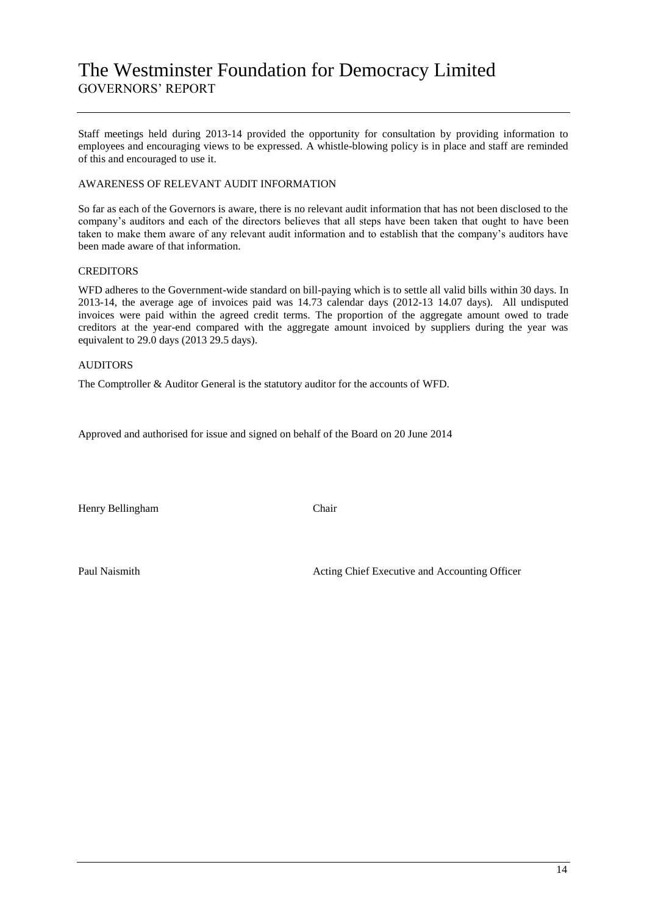# The Westminster Foundation for Democracy Limited GOVERNORS' REPORT

Staff meetings held during 2013-14 provided the opportunity for consultation by providing information to employees and encouraging views to be expressed. A whistle-blowing policy is in place and staff are reminded of this and encouraged to use it.

## AWARENESS OF RELEVANT AUDIT INFORMATION

So far as each of the Governors is aware, there is no relevant audit information that has not been disclosed to the company's auditors and each of the directors believes that all steps have been taken that ought to have been taken to make them aware of any relevant audit information and to establish that the company's auditors have been made aware of that information.

#### **CREDITORS**

WFD adheres to the Government-wide standard on bill-paying which is to settle all valid bills within 30 days. In 2013-14, the average age of invoices paid was 14.73 calendar days (2012-13 14.07 days). All undisputed invoices were paid within the agreed credit terms. The proportion of the aggregate amount owed to trade creditors at the year-end compared with the aggregate amount invoiced by suppliers during the year was equivalent to  $29.0$  days (2013 29.5 days).

### AUDITORS

The Comptroller & Auditor General is the statutory auditor for the accounts of WFD.

Approved and authorised for issue and signed on behalf of the Board on 20 June 2014

Henry Bellingham Chair

Paul Naismith Acting Chief Executive and Accounting Officer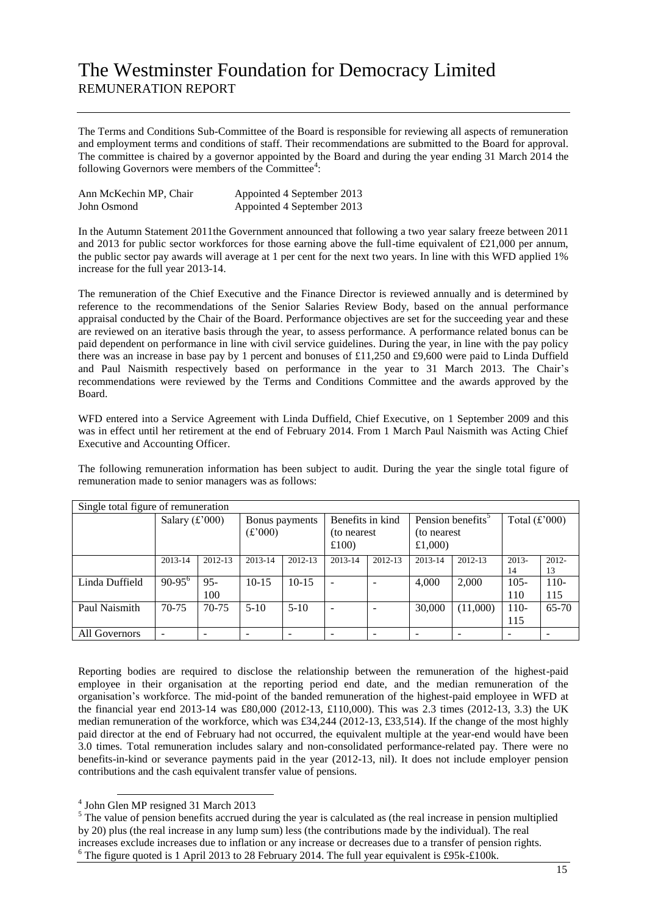The Terms and Conditions Sub-Committee of the Board is responsible for reviewing all aspects of remuneration and employment terms and conditions of staff. Their recommendations are submitted to the Board for approval. The committee is chaired by a governor appointed by the Board and during the year ending 31 March 2014 the following Governors were members of the Committee<sup>4</sup>:

| Ann McKechin MP, Chair | Appointed 4 September 2013 |
|------------------------|----------------------------|
| John Osmond            | Appointed 4 September 2013 |

In the Autumn Statement 2011 the Government announced that following a two year salary freeze between 2011 and 2013 for public sector workforces for those earning above the full-time equivalent of £21,000 per annum, the public sector pay awards will average at 1 per cent for the next two years. In line with this WFD applied 1% increase for the full year 2013-14.

The remuneration of the Chief Executive and the Finance Director is reviewed annually and is determined by reference to the recommendations of the Senior Salaries Review Body, based on the annual performance appraisal conducted by the Chair of the Board. Performance objectives are set for the succeeding year and these are reviewed on an iterative basis through the year, to assess performance. A performance related bonus can be paid dependent on performance in line with civil service guidelines. During the year, in line with the pay policy there was an increase in base pay by 1 percent and bonuses of £11,250 and £9,600 were paid to Linda Duffield and Paul Naismith respectively based on performance in the year to 31 March 2013. The Chair's recommendations were reviewed by the Terms and Conditions Committee and the awards approved by the Board.

WFD entered into a Service Agreement with Linda Duffield, Chief Executive, on 1 September 2009 and this was in effect until her retirement at the end of February 2014. From 1 March Paul Naismith was Acting Chief Executive and Accounting Officer.

The following remuneration information has been subject to audit. During the year the single total figure of remuneration made to senior managers was as follows:

| Single total figure of remuneration |                                    |         |         |                  |                          |                               |              |                 |         |           |
|-------------------------------------|------------------------------------|---------|---------|------------------|--------------------------|-------------------------------|--------------|-----------------|---------|-----------|
|                                     | Salary $(f'000)$<br>Bonus payments |         |         | Benefits in kind |                          | Pension benefits <sup>3</sup> |              | Total $(f'000)$ |         |           |
|                                     |                                    |         | (f'000) |                  | (to nearest)             |                               | (to nearest) |                 |         |           |
|                                     |                                    |         |         |                  | £100)                    |                               | £1,000)      |                 |         |           |
|                                     | 2013-14                            | 2012-13 | 2013-14 | 2012-13          | 2013-14                  | 2012-13                       | 2013-14      | 2012-13         | 2013-   | 2012-     |
|                                     |                                    |         |         |                  |                          |                               |              |                 | 14      | 13        |
| Linda Duffield                      | $90-95^{\circ}$                    | $95 -$  | $10-15$ | $10-15$          | ÷,                       |                               | 4,000        | 2,000           | $105 -$ | $110-$    |
|                                     |                                    | 100     |         |                  |                          |                               |              |                 | 110     | 115       |
| Paul Naismith                       | $70-75$                            | $70-75$ | $5-10$  | $5-10$           | $\overline{\phantom{a}}$ |                               | 30,000       | (11,000)        | $110-$  | $65 - 70$ |
|                                     |                                    |         |         |                  |                          |                               |              |                 | 115     |           |
| All Governors                       |                                    |         |         |                  | $\overline{\phantom{0}}$ |                               |              |                 | -       |           |

Reporting bodies are required to disclose the relationship between the remuneration of the highest-paid employee in their organisation at the reporting period end date, and the median remuneration of the organisation's workforce. The mid-point of the banded remuneration of the highest-paid employee in WFD at the financial year end 2013-14 was £80,000 (2012-13, £110,000). This was 2.3 times (2012-13, 3.3) the UK median remuneration of the workforce, which was £34,244 (2012-13, £33,514). If the change of the most highly paid director at the end of February had not occurred, the equivalent multiple at the year-end would have been 3.0 times. Total remuneration includes salary and non-consolidated performance-related pay. There were no benefits-in-kind or severance payments paid in the year (2012-13, nil). It does not include employer pension contributions and the cash equivalent transfer value of pensions.

 4 John Glen MP resigned 31 March 2013

<sup>&</sup>lt;sup>5</sup> The value of pension benefits accrued during the year is calculated as (the real increase in pension multiplied by 20) plus (the real increase in any lump sum) less (the contributions made by the individual). The real increases exclude increases due to inflation or any increase or decreases due to a transfer of pension rights. The figure quoted is 1 April 2013 to 28 February 2014. The full year equivalent is £95k-£100k.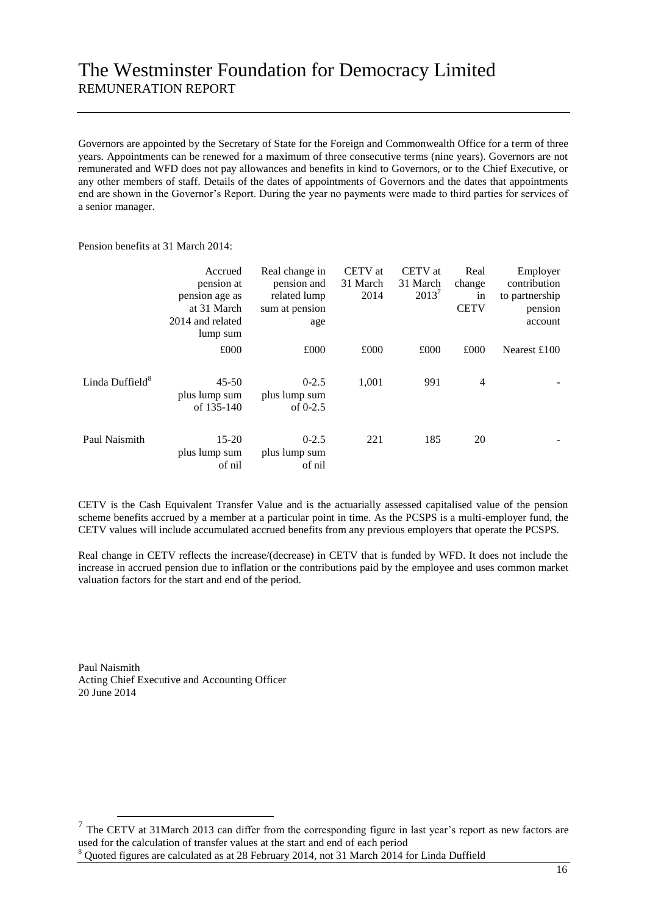Governors are appointed by the Secretary of State for the Foreign and Commonwealth Office for a term of three years. Appointments can be renewed for a maximum of three consecutive terms (nine years). Governors are not remunerated and WFD does not pay allowances and benefits in kind to Governors, or to the Chief Executive, or any other members of staff. Details of the dates of appointments of Governors and the dates that appointments end are shown in the Governor's Report. During the year no payments were made to third parties for services of a senior manager.

Pension benefits at 31 March 2014:

|                             | Accrued<br>pension at<br>pension age as<br>at 31 March | Real change in<br>pension and<br>related lump<br>sum at pension | CETV at<br>31 March<br>2014 | CETV at<br>31 March<br>$2013^7$ | Real<br>change<br>in<br><b>CETV</b> | Employer<br>contribution<br>to partnership<br>pension |
|-----------------------------|--------------------------------------------------------|-----------------------------------------------------------------|-----------------------------|---------------------------------|-------------------------------------|-------------------------------------------------------|
|                             | 2014 and related<br>lump sum                           | age                                                             |                             |                                 |                                     | account                                               |
|                             | £000                                                   | £000                                                            | £000                        | £000                            | £000                                | Nearest $£100$                                        |
| Linda Duffield <sup>8</sup> | $45 - 50$<br>plus lump sum<br>of 135-140               | $0 - 2.5$<br>plus lump sum<br>of $0-2.5$                        | 1,001                       | 991                             | 4                                   |                                                       |
| Paul Naismith               | $15 - 20$<br>plus lump sum<br>of nil                   | $0 - 2.5$<br>plus lump sum<br>of nil                            | 221                         | 185                             | 20                                  |                                                       |

CETV is the Cash Equivalent Transfer Value and is the actuarially assessed capitalised value of the pension scheme benefits accrued by a member at a particular point in time. As the PCSPS is a multi-employer fund, the CETV values will include accumulated accrued benefits from any previous employers that operate the PCSPS.

Real change in CETV reflects the increase/(decrease) in CETV that is funded by WFD. It does not include the increase in accrued pension due to inflation or the contributions paid by the employee and uses common market valuation factors for the start and end of the period.

Paul Naismith Acting Chief Executive and Accounting Officer 20 June 2014

 $\overline{a}$ 

 $<sup>7</sup>$  The CETV at 31March 2013 can differ from the corresponding figure in last year's report as new factors are</sup> used for the calculation of transfer values at the start and end of each period Quoted figures are calculated as at 28 February 2014, not 31 March 2014 for Linda Duffield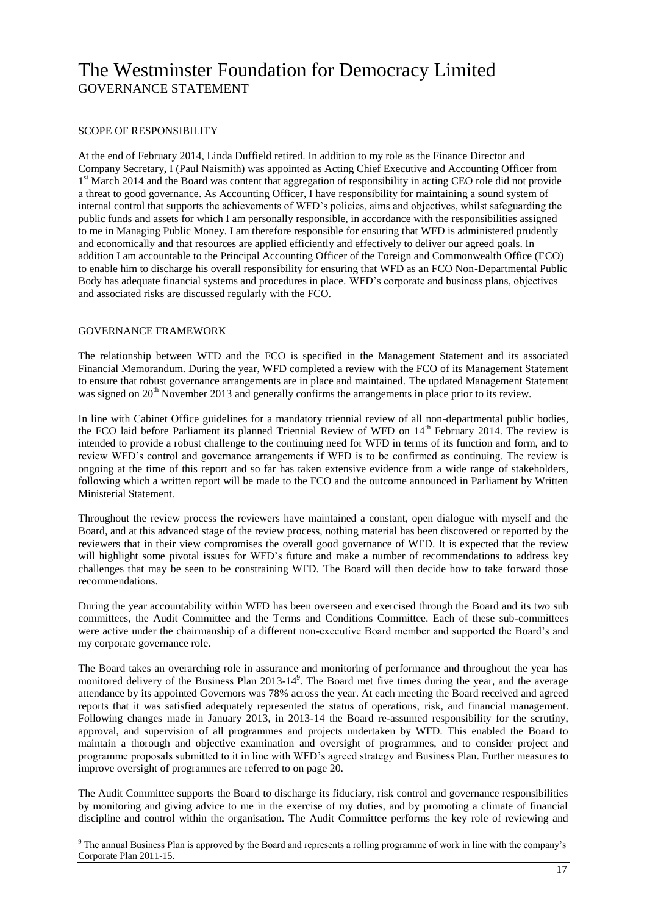### SCOPE OF RESPONSIBILITY

At the end of February 2014, Linda Duffield retired. In addition to my role as the Finance Director and Company Secretary, I (Paul Naismith) was appointed as Acting Chief Executive and Accounting Officer from 1<sup>st</sup> March 2014 and the Board was content that aggregation of responsibility in acting CEO role did not provide a threat to good governance. As Accounting Officer, I have responsibility for maintaining a sound system of internal control that supports the achievements of WFD's policies, aims and objectives, whilst safeguarding the public funds and assets for which I am personally responsible, in accordance with the responsibilities assigned to me in Managing Public Money. I am therefore responsible for ensuring that WFD is administered prudently and economically and that resources are applied efficiently and effectively to deliver our agreed goals. In addition I am accountable to the Principal Accounting Officer of the Foreign and Commonwealth Office (FCO) to enable him to discharge his overall responsibility for ensuring that WFD as an FCO Non-Departmental Public Body has adequate financial systems and procedures in place. WFD's corporate and business plans, objectives and associated risks are discussed regularly with the FCO.

#### GOVERNANCE FRAMEWORK

1

The relationship between WFD and the FCO is specified in the Management Statement and its associated Financial Memorandum. During the year, WFD completed a review with the FCO of its Management Statement to ensure that robust governance arrangements are in place and maintained. The updated Management Statement was signed on  $20<sup>th</sup>$  November 2013 and generally confirms the arrangements in place prior to its review.

In line with Cabinet Office guidelines for a mandatory triennial review of all non-departmental public bodies, the FCO laid before Parliament its planned Triennial Review of WFD on 14<sup>th</sup> February 2014. The review is intended to provide a robust challenge to the continuing need for WFD in terms of its function and form, and to review WFD's control and governance arrangements if WFD is to be confirmed as continuing. The review is ongoing at the time of this report and so far has taken extensive evidence from a wide range of stakeholders, following which a written report will be made to the FCO and the outcome announced in Parliament by Written Ministerial Statement.

Throughout the review process the reviewers have maintained a constant, open dialogue with myself and the Board, and at this advanced stage of the review process, nothing material has been discovered or reported by the reviewers that in their view compromises the overall good governance of WFD. It is expected that the review will highlight some pivotal issues for WFD's future and make a number of recommendations to address key challenges that may be seen to be constraining WFD. The Board will then decide how to take forward those recommendations.

During the year accountability within WFD has been overseen and exercised through the Board and its two sub committees, the Audit Committee and the Terms and Conditions Committee. Each of these sub-committees were active under the chairmanship of a different non-executive Board member and supported the Board's and my corporate governance role.

The Board takes an overarching role in assurance and monitoring of performance and throughout the year has monitored delivery of the Business Plan 2013-14<sup>9</sup>. The Board met five times during the year, and the average attendance by its appointed Governors was 78% across the year. At each meeting the Board received and agreed reports that it was satisfied adequately represented the status of operations, risk, and financial management. Following changes made in January 2013, in 2013-14 the Board re-assumed responsibility for the scrutiny, approval, and supervision of all programmes and projects undertaken by WFD. This enabled the Board to maintain a thorough and objective examination and oversight of programmes, and to consider project and programme proposals submitted to it in line with WFD's agreed strategy and Business Plan. Further measures to improve oversight of programmes are referred to on page 20.

The Audit Committee supports the Board to discharge its fiduciary, risk control and governance responsibilities by monitoring and giving advice to me in the exercise of my duties, and by promoting a climate of financial discipline and control within the organisation. The Audit Committee performs the key role of reviewing and

<sup>&</sup>lt;sup>9</sup> The annual Business Plan is approved by the Board and represents a rolling programme of work in line with the company's Corporate Plan 2011-15.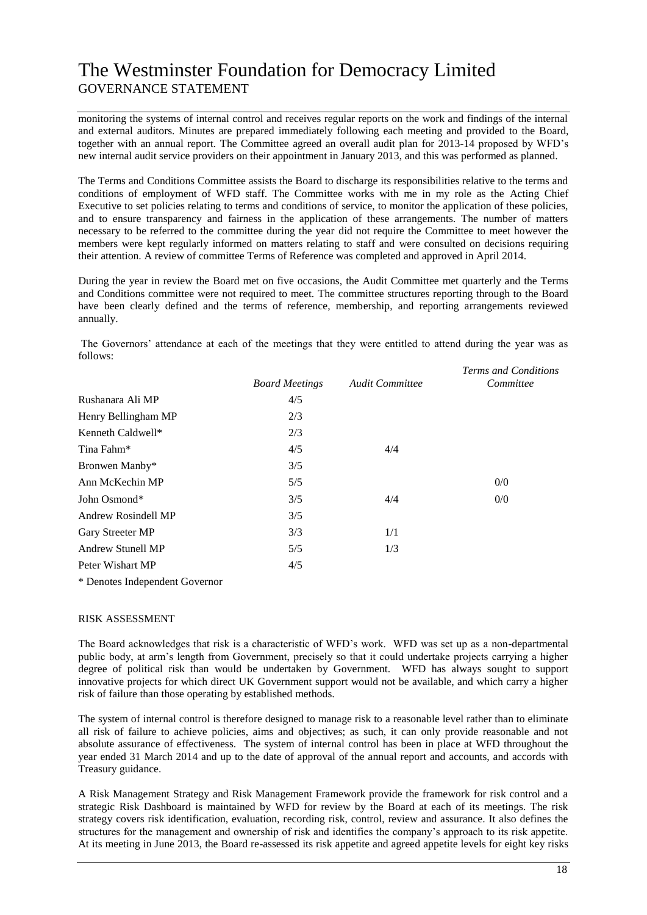# The Westminster Foundation for Democracy Limited GOVERNANCE STATEMENT

monitoring the systems of internal control and receives regular reports on the work and findings of the internal and external auditors. Minutes are prepared immediately following each meeting and provided to the Board, together with an annual report. The Committee agreed an overall audit plan for 2013-14 proposed by WFD's new internal audit service providers on their appointment in January 2013, and this was performed as planned.

The Terms and Conditions Committee assists the Board to discharge its responsibilities relative to the terms and conditions of employment of WFD staff. The Committee works with me in my role as the Acting Chief Executive to set policies relating to terms and conditions of service, to monitor the application of these policies, and to ensure transparency and fairness in the application of these arrangements. The number of matters necessary to be referred to the committee during the year did not require the Committee to meet however the members were kept regularly informed on matters relating to staff and were consulted on decisions requiring their attention. A review of committee Terms of Reference was completed and approved in April 2014.

During the year in review the Board met on five occasions, the Audit Committee met quarterly and the Terms and Conditions committee were not required to meet. The committee structures reporting through to the Board have been clearly defined and the terms of reference, membership, and reporting arrangements reviewed annually.

The Governors' attendance at each of the meetings that they were entitled to attend during the year was as follows:

|                          | <b>Board Meetings</b> | <b>Audit Committee</b> | Terms and Conditions<br>Committee |
|--------------------------|-----------------------|------------------------|-----------------------------------|
| Rushanara Ali MP         | 4/5                   |                        |                                   |
| Henry Bellingham MP      | 2/3                   |                        |                                   |
| Kenneth Caldwell*        | 2/3                   |                        |                                   |
| Tina Fahm*               | 4/5                   | 4/4                    |                                   |
| Bronwen Manby*           | 3/5                   |                        |                                   |
| Ann McKechin MP          | 5/5                   |                        | 0/0                               |
| John Osmond*             | 3/5                   | 4/4                    | 0/0                               |
| Andrew Rosindell MP      | 3/5                   |                        |                                   |
| Gary Streeter MP         | 3/3                   | 1/1                    |                                   |
| <b>Andrew Stunell MP</b> | 5/5                   | 1/3                    |                                   |
| Peter Wishart MP         | 4/5                   |                        |                                   |

\* Denotes Independent Governor

#### RISK ASSESSMENT

The Board acknowledges that risk is a characteristic of WFD's work. WFD was set up as a non-departmental public body, at arm's length from Government, precisely so that it could undertake projects carrying a higher degree of political risk than would be undertaken by Government. WFD has always sought to support innovative projects for which direct UK Government support would not be available, and which carry a higher risk of failure than those operating by established methods.

The system of internal control is therefore designed to manage risk to a reasonable level rather than to eliminate all risk of failure to achieve policies, aims and objectives; as such, it can only provide reasonable and not absolute assurance of effectiveness. The system of internal control has been in place at WFD throughout the year ended 31 March 2014 and up to the date of approval of the annual report and accounts, and accords with Treasury guidance.

A Risk Management Strategy and Risk Management Framework provide the framework for risk control and a strategic Risk Dashboard is maintained by WFD for review by the Board at each of its meetings. The risk strategy covers risk identification, evaluation, recording risk, control, review and assurance. It also defines the structures for the management and ownership of risk and identifies the company's approach to its risk appetite. At its meeting in June 2013, the Board re-assessed its risk appetite and agreed appetite levels for eight key risks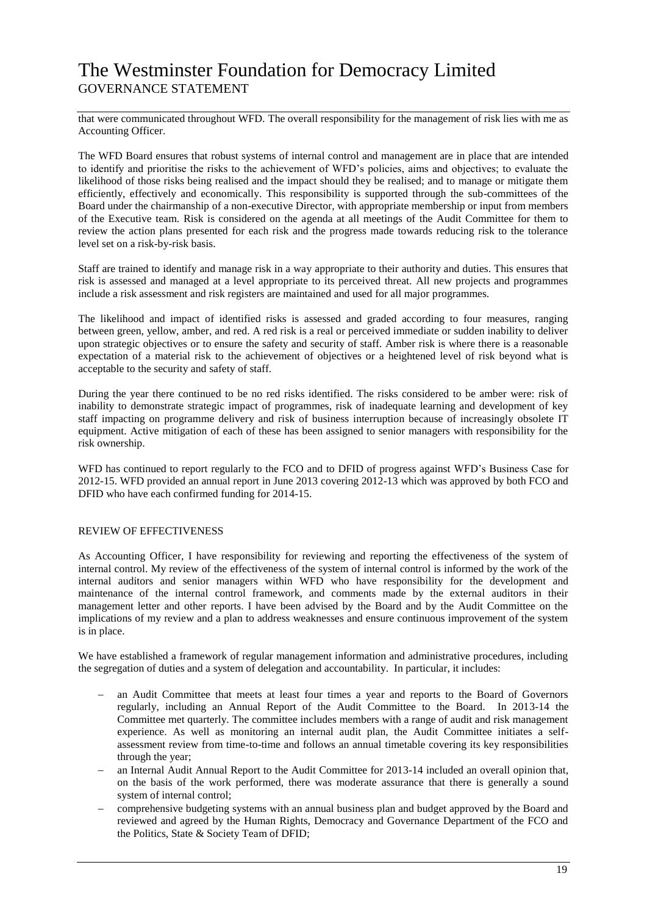# The Westminster Foundation for Democracy Limited GOVERNANCE STATEMENT

that were communicated throughout WFD. The overall responsibility for the management of risk lies with me as Accounting Officer.

The WFD Board ensures that robust systems of internal control and management are in place that are intended to identify and prioritise the risks to the achievement of WFD's policies, aims and objectives; to evaluate the likelihood of those risks being realised and the impact should they be realised; and to manage or mitigate them efficiently, effectively and economically. This responsibility is supported through the sub-committees of the Board under the chairmanship of a non-executive Director, with appropriate membership or input from members of the Executive team. Risk is considered on the agenda at all meetings of the Audit Committee for them to review the action plans presented for each risk and the progress made towards reducing risk to the tolerance level set on a risk-by-risk basis.

Staff are trained to identify and manage risk in a way appropriate to their authority and duties. This ensures that risk is assessed and managed at a level appropriate to its perceived threat. All new projects and programmes include a risk assessment and risk registers are maintained and used for all major programmes.

The likelihood and impact of identified risks is assessed and graded according to four measures, ranging between green, yellow, amber, and red. A red risk is a real or perceived immediate or sudden inability to deliver upon strategic objectives or to ensure the safety and security of staff. Amber risk is where there is a reasonable expectation of a material risk to the achievement of objectives or a heightened level of risk beyond what is acceptable to the security and safety of staff.

During the year there continued to be no red risks identified. The risks considered to be amber were: risk of inability to demonstrate strategic impact of programmes, risk of inadequate learning and development of key staff impacting on programme delivery and risk of business interruption because of increasingly obsolete IT equipment. Active mitigation of each of these has been assigned to senior managers with responsibility for the risk ownership.

WFD has continued to report regularly to the FCO and to DFID of progress against WFD's Business Case for 2012-15. WFD provided an annual report in June 2013 covering 2012-13 which was approved by both FCO and DFID who have each confirmed funding for 2014-15.

#### REVIEW OF EFFECTIVENESS

As Accounting Officer, I have responsibility for reviewing and reporting the effectiveness of the system of internal control. My review of the effectiveness of the system of internal control is informed by the work of the internal auditors and senior managers within WFD who have responsibility for the development and maintenance of the internal control framework, and comments made by the external auditors in their management letter and other reports. I have been advised by the Board and by the Audit Committee on the implications of my review and a plan to address weaknesses and ensure continuous improvement of the system is in place.

We have established a framework of regular management information and administrative procedures, including the segregation of duties and a system of delegation and accountability. In particular, it includes:

- an Audit Committee that meets at least four times a year and reports to the Board of Governors regularly, including an Annual Report of the Audit Committee to the Board. In 2013-14 the Committee met quarterly. The committee includes members with a range of audit and risk management experience. As well as monitoring an internal audit plan, the Audit Committee initiates a selfassessment review from time-to-time and follows an annual timetable covering its key responsibilities through the year;
- an Internal Audit Annual Report to the Audit Committee for 2013-14 included an overall opinion that, on the basis of the work performed, there was moderate assurance that there is generally a sound system of internal control;
- comprehensive budgeting systems with an annual business plan and budget approved by the Board and reviewed and agreed by the Human Rights, Democracy and Governance Department of the FCO and the Politics, State & Society Team of DFID;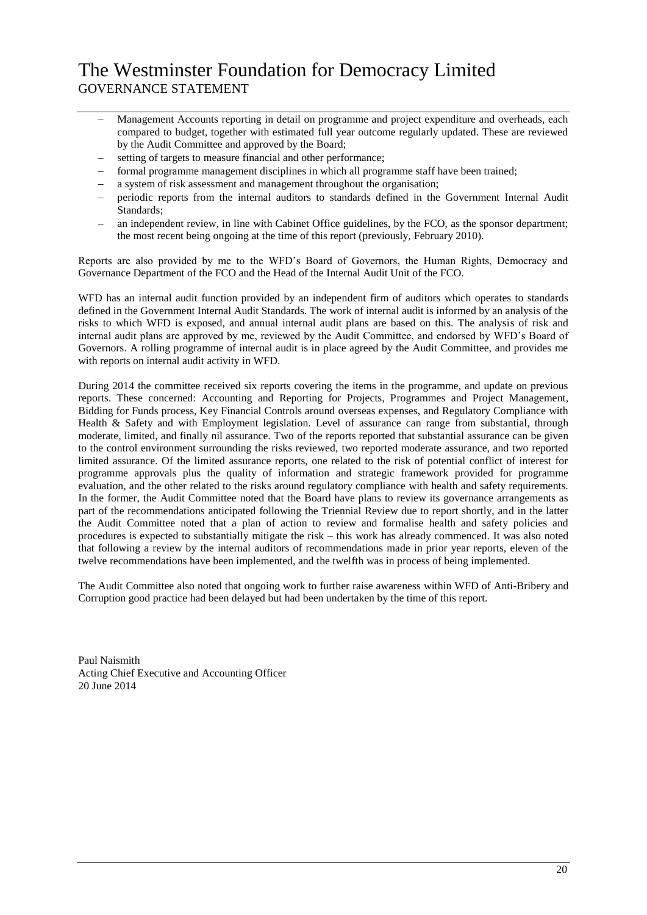# The Westminster Foundation for Democracy Limited GOVERNANCE STATEMENT

- Management Accounts reporting in detail on programme and project expenditure and overheads, each compared to budget, together with estimated full year outcome regularly updated. These are reviewed by the Audit Committee and approved by the Board;
- setting of targets to measure financial and other performance;
- formal programme management disciplines in which all programme staff have been trained;
- a system of risk assessment and management throughout the organisation;
- periodic reports from the internal auditors to standards defined in the Government Internal Audit Standards;
- an independent review, in line with Cabinet Office guidelines, by the FCO, as the sponsor department; the most recent being ongoing at the time of this report (previously, February 2010).

Reports are also provided by me to the WFD's Board of Governors, the Human Rights, Democracy and Governance Department of the FCO and the Head of the Internal Audit Unit of the FCO.

WFD has an internal audit function provided by an independent firm of auditors which operates to standards defined in the Government Internal Audit Standards. The work of internal audit is informed by an analysis of the risks to which WFD is exposed, and annual internal audit plans are based on this. The analysis of risk and internal audit plans are approved by me, reviewed by the Audit Committee, and endorsed by WFD's Board of Governors. A rolling programme of internal audit is in place agreed by the Audit Committee, and provides me with reports on internal audit activity in WFD.

During 2014 the committee received six reports covering the items in the programme, and update on previous reports. These concerned: Accounting and Reporting for Projects, Programmes and Project Management, Bidding for Funds process, Key Financial Controls around overseas expenses, and Regulatory Compliance with Health & Safety and with Employment legislation. Level of assurance can range from substantial, through moderate, limited, and finally nil assurance. Two of the reports reported that substantial assurance can be given to the control environment surrounding the risks reviewed, two reported moderate assurance, and two reported limited assurance. Of the limited assurance reports, one related to the risk of potential conflict of interest for programme approvals plus the quality of information and strategic framework provided for programme evaluation, and the other related to the risks around regulatory compliance with health and safety requirements. In the former, the Audit Committee noted that the Board have plans to review its governance arrangements as part of the recommendations anticipated following the Triennial Review due to report shortly, and in the latter the Audit Committee noted that a plan of action to review and formalise health and safety policies and procedures is expected to substantially mitigate the risk – this work has already commenced. It was also noted that following a review by the internal auditors of recommendations made in prior year reports, eleven of the twelve recommendations have been implemented, and the twelfth was in process of being implemented.

The Audit Committee also noted that ongoing work to further raise awareness within WFD of Anti-Bribery and Corruption good practice had been delayed but had been undertaken by the time of this report.

Paul Naismith Acting Chief Executive and Accounting Officer 20 June 2014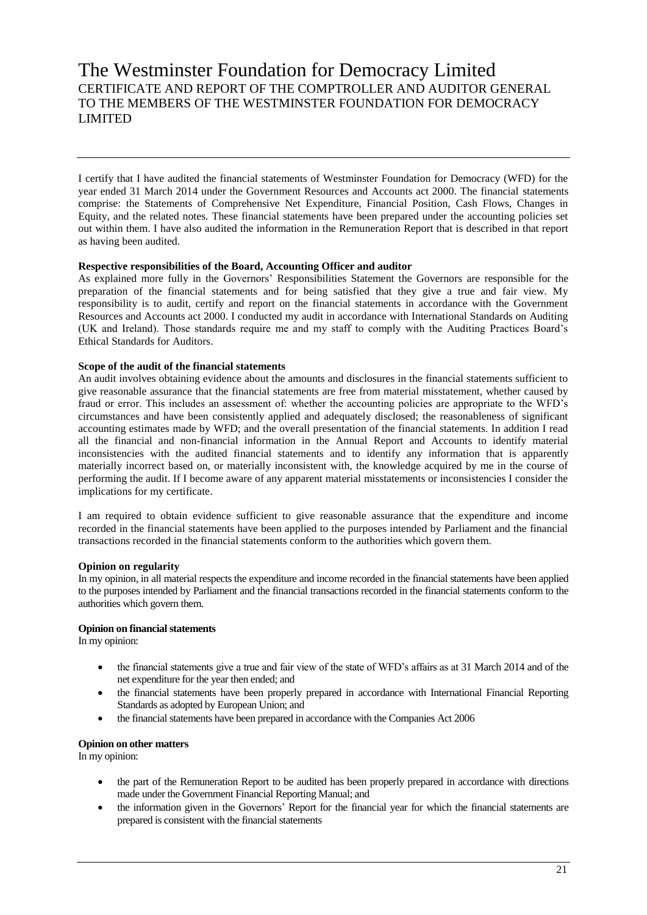# The Westminster Foundation for Democracy Limited CERTIFICATE AND REPORT OF THE COMPTROLLER AND AUDITOR GENERAL TO THE MEMBERS OF THE WESTMINSTER FOUNDATION FOR DEMOCRACY LIMITED

I certify that I have audited the financial statements of Westminster Foundation for Democracy (WFD) for the year ended 31 March 2014 under the Government Resources and Accounts act 2000. The financial statements comprise: the Statements of Comprehensive Net Expenditure, Financial Position, Cash Flows, Changes in Equity, and the related notes. These financial statements have been prepared under the accounting policies set out within them. I have also audited the information in the Remuneration Report that is described in that report as having been audited.

#### **Respective responsibilities of the Board, Accounting Officer and auditor**

As explained more fully in the Governors' Responsibilities Statement the Governors are responsible for the preparation of the financial statements and for being satisfied that they give a true and fair view. My responsibility is to audit, certify and report on the financial statements in accordance with the Government Resources and Accounts act 2000. I conducted my audit in accordance with International Standards on Auditing (UK and Ireland). Those standards require me and my staff to comply with the Auditing Practices Board's Ethical Standards for Auditors.

### **Scope of the audit of the financial statements**

An audit involves obtaining evidence about the amounts and disclosures in the financial statements sufficient to give reasonable assurance that the financial statements are free from material misstatement, whether caused by fraud or error. This includes an assessment of: whether the accounting policies are appropriate to the WFD's circumstances and have been consistently applied and adequately disclosed; the reasonableness of significant accounting estimates made by WFD; and the overall presentation of the financial statements. In addition I read all the financial and non-financial information in the Annual Report and Accounts to identify material inconsistencies with the audited financial statements and to identify any information that is apparently materially incorrect based on, or materially inconsistent with, the knowledge acquired by me in the course of performing the audit. If I become aware of any apparent material misstatements or inconsistencies I consider the implications for my certificate.

I am required to obtain evidence sufficient to give reasonable assurance that the expenditure and income recorded in the financial statements have been applied to the purposes intended by Parliament and the financial transactions recorded in the financial statements conform to the authorities which govern them.

### **Opinion on regularity**

In my opinion, in all material respects the expenditure and income recorded in the financial statements have been applied to the purposes intended by Parliament and the financial transactions recorded in the financial statements conform to the authorities which govern them.

### **Opinion on financial statements**

In my opinion:

- the financial statements give a true and fair view of the state of WFD's affairs as at 31 March 2014 and of the net expenditure for the year then ended; and
- the financial statements have been properly prepared in accordance with International Financial Reporting Standards as adopted by European Union; and
- the financial statements have been prepared in accordance with the Companies Act 2006

### **Opinion on other matters**

In my opinion:

- the part of the Remuneration Report to be audited has been properly prepared in accordance with directions made under the Government Financial Reporting Manual; and
- the information given in the Governors' Report for the financial year for which the financial statements are prepared is consistent with the financial statements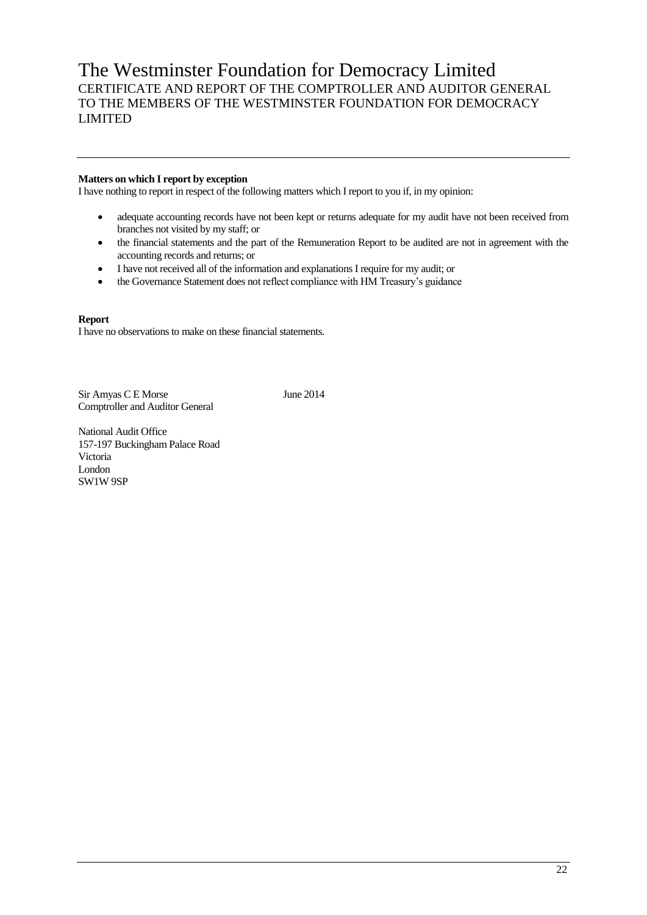# The Westminster Foundation for Democracy Limited CERTIFICATE AND REPORT OF THE COMPTROLLER AND AUDITOR GENERAL TO THE MEMBERS OF THE WESTMINSTER FOUNDATION FOR DEMOCRACY LIMITED

## **Matters on which I report by exception**

I have nothing to report in respect of the following matters which I report to you if, in my opinion:

- adequate accounting records have not been kept or returns adequate for my audit have not been received from branches not visited by my staff; or
- the financial statements and the part of the Remuneration Report to be audited are not in agreement with the accounting records and returns; or
- I have not received all of the information and explanations I require for my audit; or
- the Governance Statement does not reflect compliance with HM Treasury's guidance

#### **Report**

I have no observations to make on these financial statements.

Sir Amyas C E Morse June 2014 Comptroller and Auditor General

National Audit Office 157-197 Buckingham Palace Road Victoria London SW1W 9SP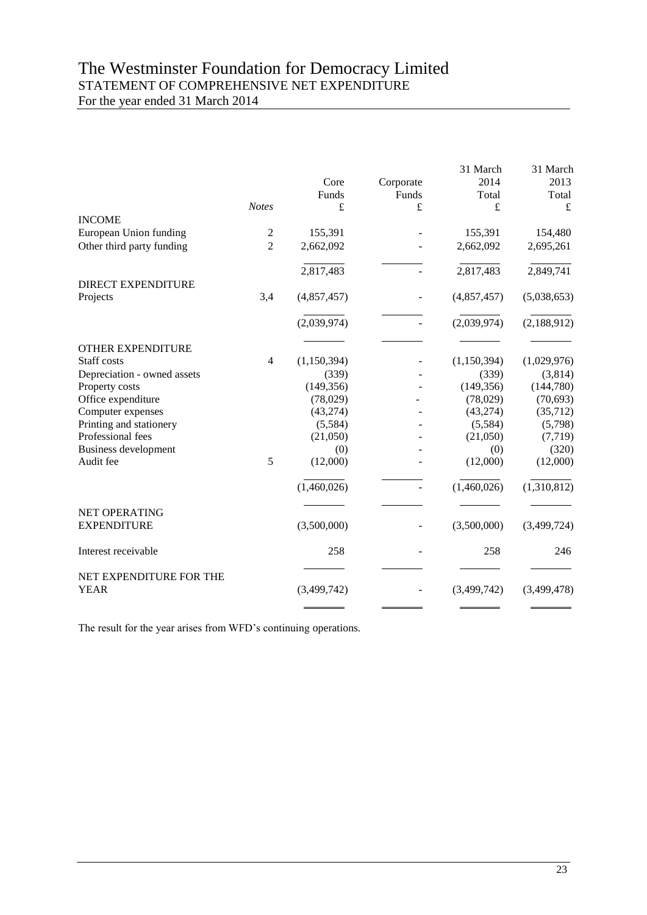# The Westminster Foundation for Democracy Limited STATEMENT OF COMPREHENSIVE NET EXPENDITURE For the year ended 31 March 2014

|                                        |                |               |                    | 31 March<br>2014 | 31 March<br>2013 |
|----------------------------------------|----------------|---------------|--------------------|------------------|------------------|
|                                        |                | Core<br>Funds | Corporate<br>Funds | Total            | Total            |
|                                        | <b>Notes</b>   | $\pounds$     | £                  | $\pounds$        | £                |
| <b>INCOME</b>                          |                |               |                    |                  |                  |
| European Union funding                 | $\overline{c}$ | 155,391       |                    | 155,391          | 154,480          |
| Other third party funding              | $\overline{2}$ | 2,662,092     |                    | 2,662,092        | 2,695,261        |
|                                        |                | 2,817,483     |                    | 2,817,483        | 2,849,741        |
| <b>DIRECT EXPENDITURE</b>              |                |               |                    |                  |                  |
| Projects                               | 3,4            | (4,857,457)   |                    | (4,857,457)      | (5,038,653)      |
|                                        |                | (2,039,974)   |                    | (2,039,974)      | (2,188,912)      |
| OTHER EXPENDITURE                      |                |               |                    |                  |                  |
| Staff costs                            | $\overline{4}$ | (1,150,394)   |                    | (1,150,394)      | (1,029,976)      |
| Depreciation - owned assets            |                | (339)         |                    | (339)            | (3,814)          |
| Property costs                         |                | (149, 356)    |                    | (149, 356)       | (144, 780)       |
| Office expenditure                     |                | (78,029)      |                    | (78,029)         | (70, 693)        |
| Computer expenses                      |                | (43, 274)     |                    | (43, 274)        | (35,712)         |
| Printing and stationery                |                | (5,584)       |                    | (5,584)          | (5,798)          |
| Professional fees                      |                | (21,050)      |                    | (21,050)         | (7, 719)         |
| <b>Business development</b>            |                | (0)           |                    | (0)              | (320)            |
| Audit fee                              | 5              | (12,000)      |                    | (12,000)         | (12,000)         |
|                                        |                | (1,460,026)   |                    | (1,460,026)      | (1,310,812)      |
| NET OPERATING                          |                |               |                    |                  |                  |
| <b>EXPENDITURE</b>                     |                | (3,500,000)   |                    | (3,500,000)      | (3,499,724)      |
| Interest receivable                    |                | 258           |                    | 258              | 246              |
| NET EXPENDITURE FOR THE<br><b>YEAR</b> |                | (3,499,742)   |                    | (3,499,742)      | (3,499,478)      |
|                                        |                |               |                    |                  |                  |

The result for the year arises from WFD's continuing operations.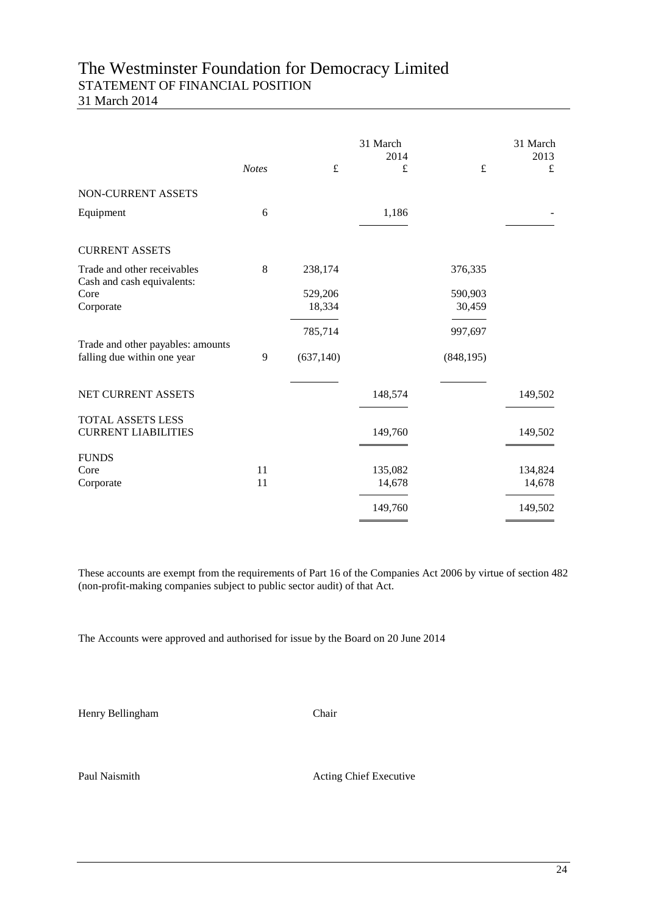# The Westminster Foundation for Democracy Limited STATEMENT OF FINANCIAL POSITION

31 March 2014

|                                                           | <b>Notes</b> | $\pounds$  | 31 March<br>2014<br>£ | £          | 31 March<br>2013<br>£ |
|-----------------------------------------------------------|--------------|------------|-----------------------|------------|-----------------------|
| NON-CURRENT ASSETS                                        |              |            |                       |            |                       |
| Equipment                                                 | 6            |            | 1,186                 |            |                       |
| <b>CURRENT ASSETS</b>                                     |              |            |                       |            |                       |
| Trade and other receivables<br>Cash and cash equivalents: | 8            | 238,174    |                       | 376,335    |                       |
| Core                                                      |              | 529,206    |                       | 590,903    |                       |
| Corporate                                                 |              | 18,334     |                       | 30,459     |                       |
| Trade and other payables: amounts                         |              | 785,714    |                       | 997,697    |                       |
| falling due within one year                               | 9            | (637, 140) |                       | (848, 195) |                       |
| NET CURRENT ASSETS                                        |              |            | 148,574               |            | 149,502               |
| <b>TOTAL ASSETS LESS</b><br><b>CURRENT LIABILITIES</b>    |              |            | 149,760               |            | 149,502               |
| <b>FUNDS</b>                                              |              |            |                       |            |                       |
| Core                                                      | 11           |            | 135,082               |            | 134,824               |
| Corporate                                                 | 11           |            | 14,678                |            | 14,678                |
|                                                           |              |            | 149,760               |            | 149,502               |

These accounts are exempt from the requirements of Part 16 of the Companies Act 2006 by virtue of section 482 (non-profit-making companies subject to public sector audit) of that Act.

The Accounts were approved and authorised for issue by the Board on 20 June 2014

Henry Bellingham Chair

Paul Naismith Acting Chief Executive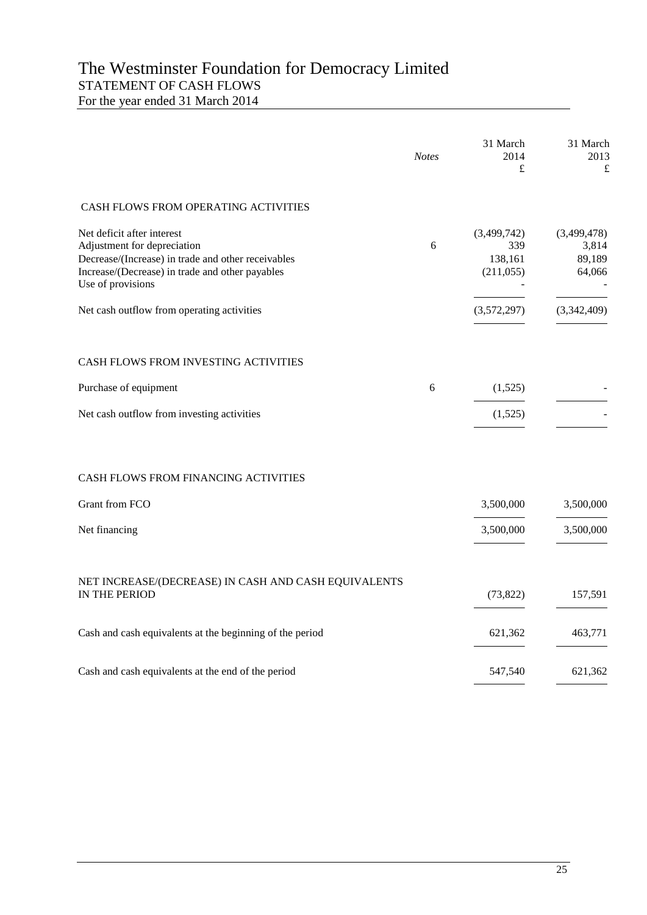# The Westminster Foundation for Democracy Limited STATEMENT OF CASH FLOWS For the year ended 31 March 2014

|                                                                                                                                                                                         | <b>Notes</b> | 31 March<br>2014<br>£                      | 31 March<br>2013<br>£                    |
|-----------------------------------------------------------------------------------------------------------------------------------------------------------------------------------------|--------------|--------------------------------------------|------------------------------------------|
| CASH FLOWS FROM OPERATING ACTIVITIES                                                                                                                                                    |              |                                            |                                          |
| Net deficit after interest<br>Adjustment for depreciation<br>Decrease/(Increase) in trade and other receivables<br>Increase/(Decrease) in trade and other payables<br>Use of provisions | 6            | (3,499,742)<br>339<br>138,161<br>(211,055) | (3,499,478)<br>3,814<br>89,189<br>64,066 |
| Net cash outflow from operating activities                                                                                                                                              |              | (3,572,297)                                | (3,342,409)                              |
| CASH FLOWS FROM INVESTING ACTIVITIES                                                                                                                                                    |              |                                            |                                          |
| Purchase of equipment                                                                                                                                                                   | 6            | (1,525)                                    |                                          |
| Net cash outflow from investing activities                                                                                                                                              |              | (1,525)                                    |                                          |
| CASH FLOWS FROM FINANCING ACTIVITIES                                                                                                                                                    |              |                                            |                                          |
| Grant from FCO                                                                                                                                                                          |              | 3,500,000                                  | 3,500,000                                |
| Net financing                                                                                                                                                                           |              | 3,500,000                                  | 3,500,000                                |
| NET INCREASE/(DECREASE) IN CASH AND CASH EQUIVALENTS<br>IN THE PERIOD                                                                                                                   |              | (73, 822)                                  | 157,591                                  |
| Cash and cash equivalents at the beginning of the period                                                                                                                                |              | 621,362                                    | 463,771                                  |
| Cash and cash equivalents at the end of the period                                                                                                                                      |              | 547,540                                    | 621,362                                  |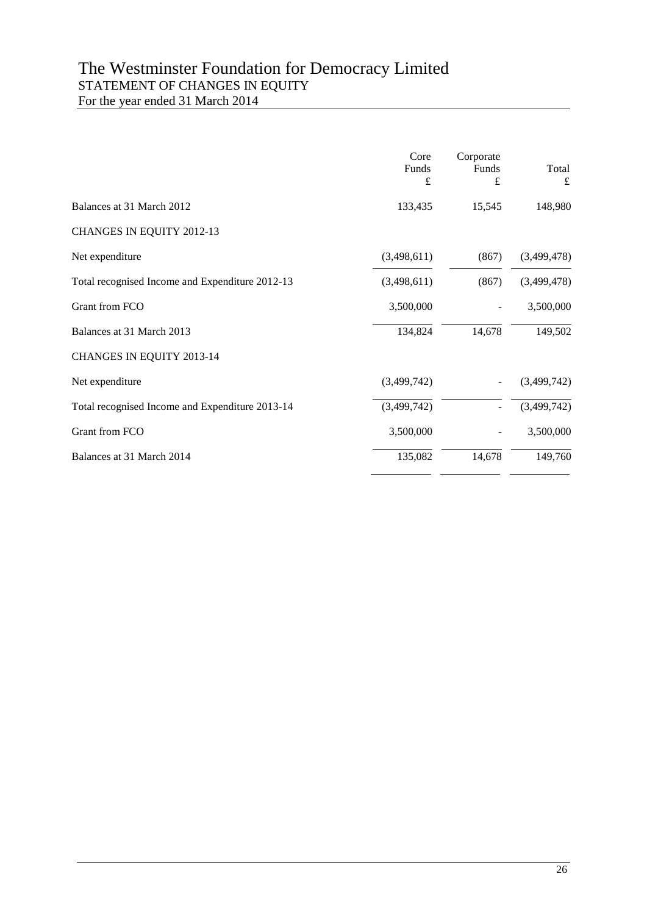# The Westminster Foundation for Democracy Limited STATEMENT OF CHANGES IN EQUITY For the year ended 31 March 2014

|                                                 | Core<br>Funds<br>£ | Corporate<br>Funds<br>£ | Total<br>$\mathbf f$ |
|-------------------------------------------------|--------------------|-------------------------|----------------------|
| Balances at 31 March 2012                       | 133,435            | 15,545                  | 148,980              |
| CHANGES IN EQUITY 2012-13                       |                    |                         |                      |
| Net expenditure                                 | (3,498,611)        | (867)                   | (3,499,478)          |
| Total recognised Income and Expenditure 2012-13 | (3,498,611)        | (867)                   | (3,499,478)          |
| Grant from FCO                                  | 3,500,000          |                         | 3,500,000            |
| Balances at 31 March 2013                       | 134,824            | 14,678                  | 149,502              |
| CHANGES IN EQUITY 2013-14                       |                    |                         |                      |
| Net expenditure                                 | (3,499,742)        |                         | (3,499,742)          |
| Total recognised Income and Expenditure 2013-14 | (3,499,742)        |                         | (3,499,742)          |
| Grant from FCO                                  | 3,500,000          |                         | 3,500,000            |
| Balances at 31 March 2014                       | 135,082            | 14,678                  | 149,760              |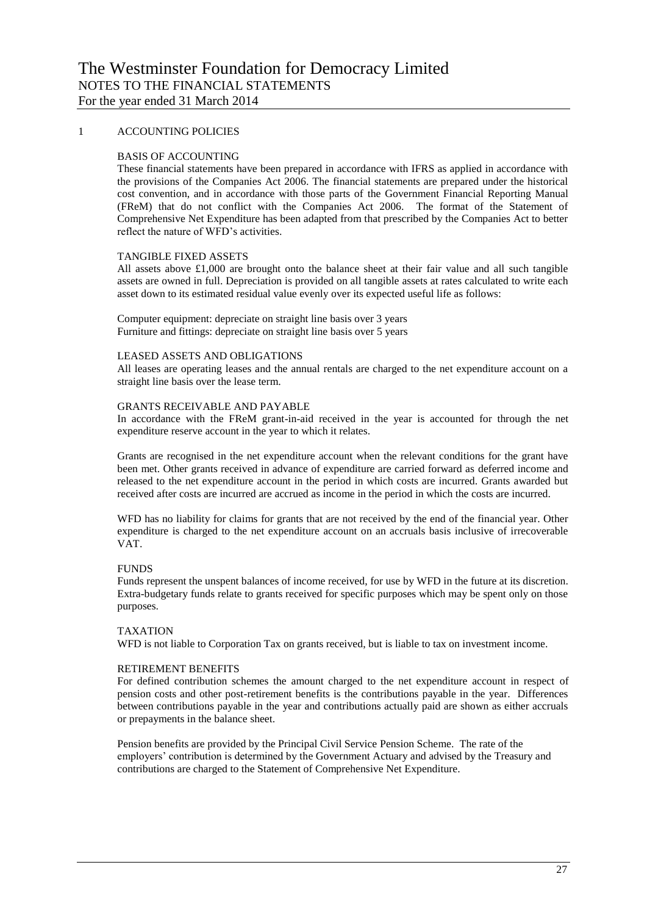### 1 ACCOUNTING POLICIES

#### BASIS OF ACCOUNTING

These financial statements have been prepared in accordance with IFRS as applied in accordance with the provisions of the Companies Act 2006. The financial statements are prepared under the historical cost convention, and in accordance with those parts of the Government Financial Reporting Manual (FReM) that do not conflict with the Companies Act 2006. The format of the Statement of Comprehensive Net Expenditure has been adapted from that prescribed by the Companies Act to better reflect the nature of WFD's activities.

#### TANGIBLE FIXED ASSETS

All assets above £1,000 are brought onto the balance sheet at their fair value and all such tangible assets are owned in full. Depreciation is provided on all tangible assets at rates calculated to write each asset down to its estimated residual value evenly over its expected useful life as follows:

Computer equipment: depreciate on straight line basis over 3 years Furniture and fittings: depreciate on straight line basis over 5 years

#### LEASED ASSETS AND OBLIGATIONS

All leases are operating leases and the annual rentals are charged to the net expenditure account on a straight line basis over the lease term.

#### GRANTS RECEIVABLE AND PAYABLE

In accordance with the FReM grant-in-aid received in the year is accounted for through the net expenditure reserve account in the year to which it relates.

Grants are recognised in the net expenditure account when the relevant conditions for the grant have been met. Other grants received in advance of expenditure are carried forward as deferred income and released to the net expenditure account in the period in which costs are incurred. Grants awarded but received after costs are incurred are accrued as income in the period in which the costs are incurred.

WFD has no liability for claims for grants that are not received by the end of the financial year. Other expenditure is charged to the net expenditure account on an accruals basis inclusive of irrecoverable VAT.

#### **FUNDS**

Funds represent the unspent balances of income received, for use by WFD in the future at its discretion. Extra-budgetary funds relate to grants received for specific purposes which may be spent only on those purposes.

#### TAXATION

WFD is not liable to Corporation Tax on grants received, but is liable to tax on investment income.

#### RETIREMENT BENEFITS

For defined contribution schemes the amount charged to the net expenditure account in respect of pension costs and other post-retirement benefits is the contributions payable in the year. Differences between contributions payable in the year and contributions actually paid are shown as either accruals or prepayments in the balance sheet.

Pension benefits are provided by the Principal Civil Service Pension Scheme. The rate of the employers' contribution is determined by the Government Actuary and advised by the Treasury and contributions are charged to the Statement of Comprehensive Net Expenditure.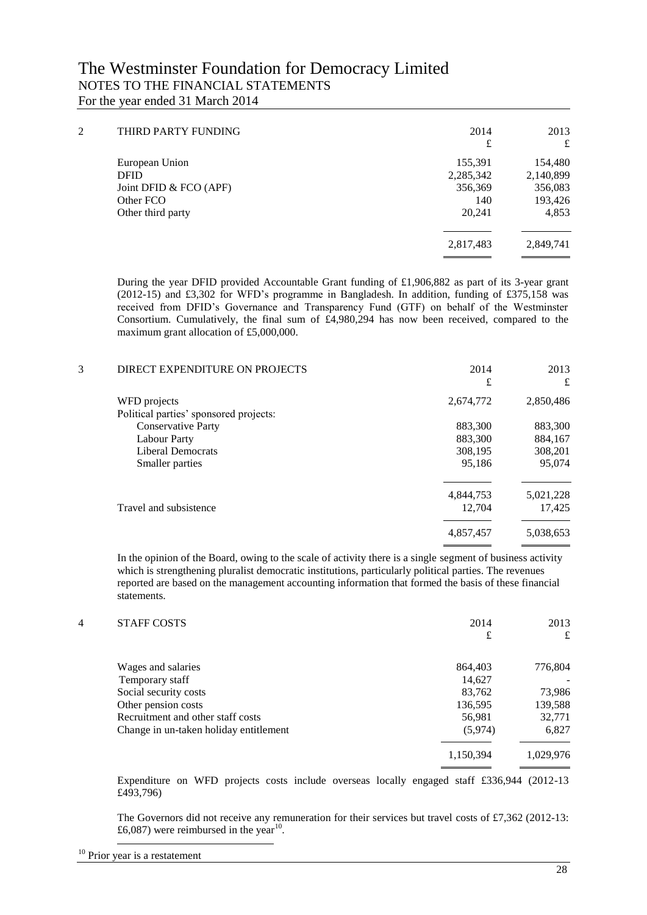| $\overline{2}$ | THIRD PARTY FUNDING    | 2014      | 2013      |
|----------------|------------------------|-----------|-----------|
|                |                        | £         | £         |
|                | European Union         | 155,391   | 154,480   |
|                | <b>DFID</b>            | 2,285,342 | 2,140,899 |
|                | Joint DFID & FCO (APF) | 356,369   | 356,083   |
|                | Other FCO              | 140       | 193,426   |
|                | Other third party      | 20,241    | 4,853     |
|                |                        | 2,817,483 | 2,849,741 |
|                |                        |           |           |

During the year DFID provided Accountable Grant funding of £1,906,882 as part of its 3-year grant (2012-15) and £3,302 for WFD's programme in Bangladesh. In addition, funding of £375,158 was received from DFID's Governance and Transparency Fund (GTF) on behalf of the Westminster Consortium. Cumulatively, the final sum of  $\text{\pounds}4,980,294$  has now been received, compared to the maximum grant allocation of £5,000,000.

| 3 | DIRECT EXPENDITURE ON PROJECTS         | 2014<br>£ | 2013<br>£ |
|---|----------------------------------------|-----------|-----------|
|   | WFD projects                           | 2,674,772 | 2,850,486 |
|   | Political parties' sponsored projects: |           |           |
|   | <b>Conservative Party</b>              | 883,300   | 883,300   |
|   | <b>Labour Party</b>                    | 883,300   | 884,167   |
|   | <b>Liberal Democrats</b>               | 308,195   | 308,201   |
|   | Smaller parties                        | 95,186    | 95,074    |
|   |                                        | 4,844,753 | 5,021,228 |
|   | Travel and subsistence                 | 12,704    | 17,425    |
|   |                                        | 4,857,457 | 5,038,653 |

In the opinion of the Board, owing to the scale of activity there is a single segment of business activity which is strengthening pluralist democratic institutions, particularly political parties. The revenues reported are based on the management accounting information that formed the basis of these financial statements.

| 4 | <b>STAFF COSTS</b>                     | 2014<br>£ | 2013<br>£ |
|---|----------------------------------------|-----------|-----------|
|   | Wages and salaries                     | 864,403   | 776,804   |
|   | Temporary staff                        | 14,627    |           |
|   | Social security costs                  | 83,762    | 73,986    |
|   | Other pension costs                    | 136,595   | 139,588   |
|   | Recruitment and other staff costs      | 56,981    | 32,771    |
|   | Change in un-taken holiday entitlement | (5,974)   | 6,827     |
|   |                                        | 1,150,394 | 1.029.976 |

Expenditure on WFD projects costs include overseas locally engaged staff £336,944 (2012-13 £493,796)

The Governors did not receive any remuneration for their services but travel costs of £7,362 (2012-13: £6,087) were reimbursed in the year<sup>10</sup>.

-

 $10$  Prior year is a restatement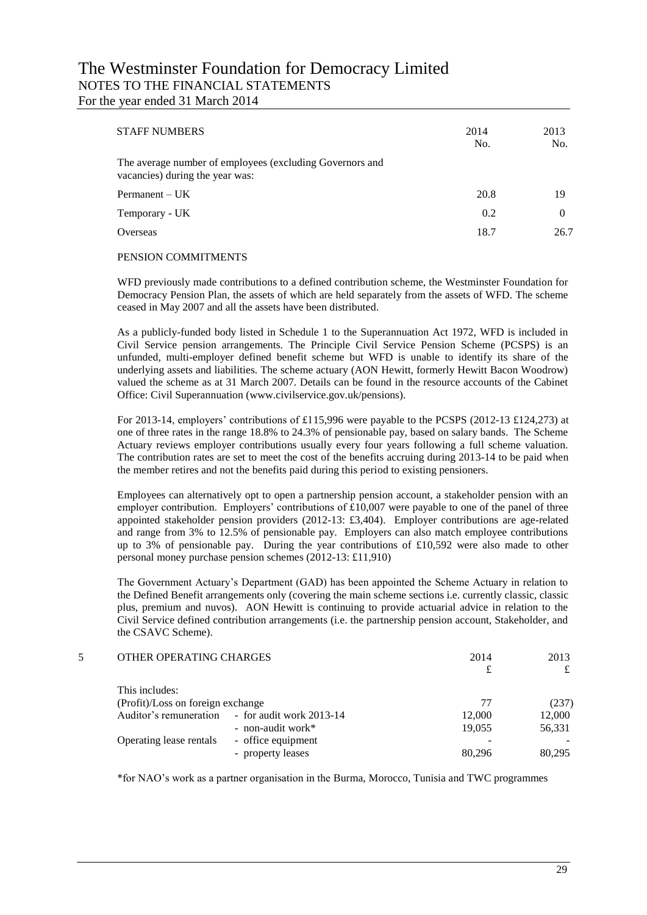| <b>STAFF NUMBERS</b>                                                                        | 2014<br>No. | 2013<br>No. |
|---------------------------------------------------------------------------------------------|-------------|-------------|
| The average number of employees (excluding Governors and<br>vacancies) during the year was: |             |             |
| $Permanent - UK$                                                                            | 20.8        | 19          |
| Temporary - UK                                                                              | 0.2         | $\theta$    |
| Overseas                                                                                    | 18.7        | 26.7        |
|                                                                                             |             |             |

#### PENSION COMMITMENTS

WFD previously made contributions to a defined contribution scheme, the Westminster Foundation for Democracy Pension Plan, the assets of which are held separately from the assets of WFD. The scheme ceased in May 2007 and all the assets have been distributed.

As a publicly-funded body listed in Schedule 1 to the Superannuation Act 1972, WFD is included in Civil Service pension arrangements. The Principle Civil Service Pension Scheme (PCSPS) is an unfunded, multi-employer defined benefit scheme but WFD is unable to identify its share of the underlying assets and liabilities. The scheme actuary (AON Hewitt, formerly Hewitt Bacon Woodrow) valued the scheme as at 31 March 2007. Details can be found in the resource accounts of the Cabinet Office: Civil Superannuation (www.civilservice.gov.uk/pensions).

For 2013-14, employers' contributions of £115,996 were payable to the PCSPS (2012-13 £124,273) at one of three rates in the range 18.8% to 24.3% of pensionable pay, based on salary bands. The Scheme Actuary reviews employer contributions usually every four years following a full scheme valuation. The contribution rates are set to meet the cost of the benefits accruing during 2013-14 to be paid when the member retires and not the benefits paid during this period to existing pensioners.

Employees can alternatively opt to open a partnership pension account, a stakeholder pension with an employer contribution. Employers' contributions of £10,007 were payable to one of the panel of three appointed stakeholder pension providers (2012-13: £3,404). Employer contributions are age-related and range from 3% to 12.5% of pensionable pay. Employers can also match employee contributions up to 3% of pensionable pay. During the year contributions of £10,592 were also made to other personal money purchase pension schemes (2012-13: £11,910)

The Government Actuary's Department (GAD) has been appointed the Scheme Actuary in relation to the Defined Benefit arrangements only (covering the main scheme sections i.e. currently classic, classic plus, premium and nuvos). AON Hewitt is continuing to provide actuarial advice in relation to the Civil Service defined contribution arrangements (i.e. the partnership pension account, Stakeholder, and the CSAVC Scheme).

|  | OTHER OPERATING CHARGES           |                                                 | 2014   | 2013   |
|--|-----------------------------------|-------------------------------------------------|--------|--------|
|  | This includes:                    |                                                 |        |        |
|  | (Profit)/Loss on foreign exchange |                                                 | 77     | (237)  |
|  |                                   | Auditor's remuneration - for audit work 2013-14 | 12,000 | 12,000 |
|  |                                   | - non-audit work*                               | 19.055 | 56,331 |
|  | Operating lease rentals           | - office equipment                              |        |        |
|  |                                   | - property leases                               | 80.296 | 80.295 |
|  |                                   |                                                 |        |        |

\*for NAO's work as a partner organisation in the Burma, Morocco, Tunisia and TWC programmes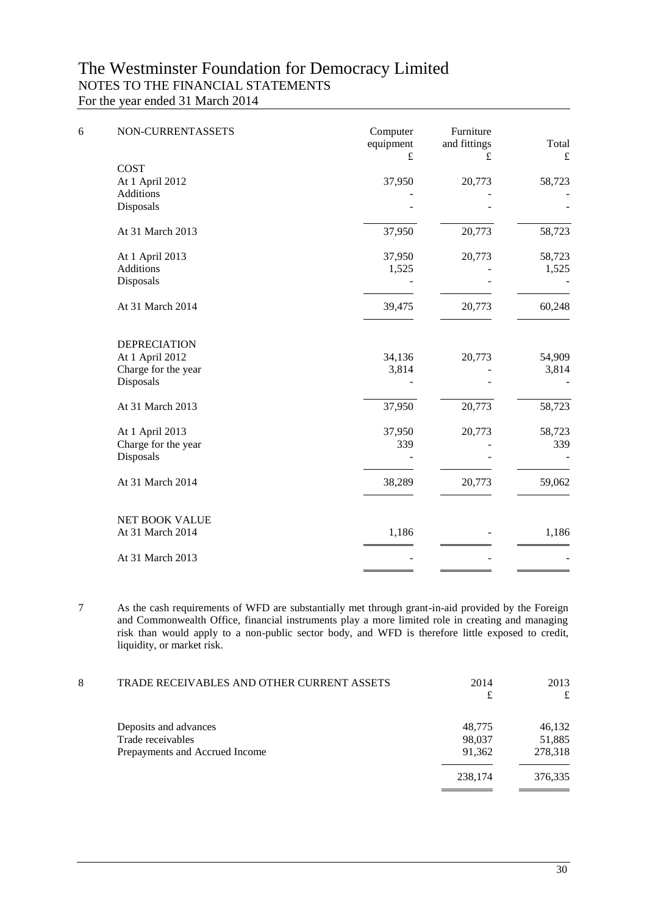| 6 | NON-CURRENTASSETS     | Computer<br>equipment<br>£ | Furniture<br>and fittings<br>£ | Total<br>£ |
|---|-----------------------|----------------------------|--------------------------------|------------|
|   | <b>COST</b>           |                            |                                |            |
|   | At 1 April 2012       | 37,950                     | 20,773                         | 58,723     |
|   | <b>Additions</b>      |                            |                                |            |
|   | Disposals             |                            |                                |            |
|   | At 31 March 2013      | 37,950                     | 20,773                         | 58,723     |
|   | At 1 April 2013       | 37,950                     | 20,773                         | 58,723     |
|   | <b>Additions</b>      | 1,525                      |                                | 1,525      |
|   | Disposals             |                            |                                |            |
|   | At 31 March 2014      | 39,475                     | 20,773                         | 60,248     |
|   | <b>DEPRECIATION</b>   |                            |                                |            |
|   | At 1 April 2012       | 34,136                     | 20,773                         | 54,909     |
|   | Charge for the year   | 3,814                      |                                | 3,814      |
|   | Disposals             |                            |                                |            |
|   | At 31 March 2013      | 37,950                     | 20,773                         | 58,723     |
|   | At 1 April 2013       | 37,950                     | 20,773                         | 58,723     |
|   | Charge for the year   | 339                        |                                | 339        |
|   | Disposals             |                            |                                |            |
|   | At 31 March 2014      | 38,289                     | 20,773                         | 59,062     |
|   | <b>NET BOOK VALUE</b> |                            |                                |            |
|   | At 31 March 2014      | 1,186                      |                                | 1,186      |
|   | At 31 March 2013      |                            |                                |            |
|   |                       |                            |                                |            |

7 As the cash requirements of WFD are substantially met through grant-in-aid provided by the Foreign and Commonwealth Office, financial instruments play a more limited role in creating and managing risk than would apply to a non-public sector body, and WFD is therefore little exposed to credit, liquidity, or market risk.

| 8 | TRADE RECEIVABLES AND OTHER CURRENT ASSETS | 2014    | 2013    |
|---|--------------------------------------------|---------|---------|
|   |                                            | £       | £       |
|   | Deposits and advances                      | 48,775  | 46,132  |
|   | Trade receivables                          | 98,037  | 51,885  |
|   | Prepayments and Accrued Income             | 91,362  | 278,318 |
|   |                                            | 238,174 | 376,335 |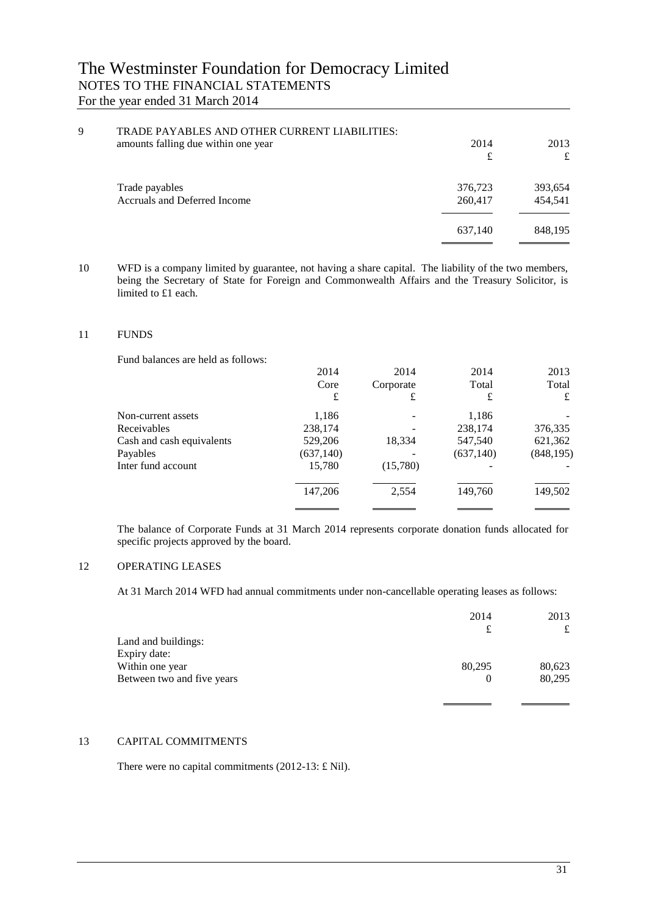| 9<br>TRADE PAYABLES AND OTHER CURRENT LIABILITIES:<br>amounts falling due within one year | 2014<br>£          | 2013<br>£          |
|-------------------------------------------------------------------------------------------|--------------------|--------------------|
| Trade payables<br>Accruals and Deferred Income                                            | 376,723<br>260,417 | 393,654<br>454,541 |
|                                                                                           | 637,140            | 848,195            |

10 WFD is a company limited by guarantee, not having a share capital. The liability of the two members, being the Secretary of State for Foreign and Commonwealth Affairs and the Treasury Solicitor, is limited to £1 each.

#### 11 FUNDS

Fund balances are held as follows:

|                           | 2014       | 2014      | 2014       | 2013       |
|---------------------------|------------|-----------|------------|------------|
|                           | Core       | Corporate | Total      | Total      |
|                           | £          | £         | £          | £          |
| Non-current assets        | 1,186      |           | 1,186      |            |
| Receivables               | 238,174    |           | 238,174    | 376,335    |
| Cash and cash equivalents | 529,206    | 18,334    | 547,540    | 621,362    |
| Payables                  | (637, 140) |           | (637, 140) | (848, 195) |
| Inter fund account        | 15,780     | (15,780)  |            |            |
|                           | 147,206    | 2,554     | 149,760    | 149,502    |
|                           |            |           |            |            |

The balance of Corporate Funds at 31 March 2014 represents corporate donation funds allocated for specific projects approved by the board.

## 12 OPERATING LEASES

At 31 March 2014 WFD had annual commitments under non-cancellable operating leases as follows:

|                            | 2014   | 2013   |
|----------------------------|--------|--------|
|                            |        | £      |
| Land and buildings:        |        |        |
| Expiry date:               |        |        |
| Within one year            | 80,295 | 80,623 |
| Between two and five years |        | 80,295 |
|                            |        |        |

#### 13 CAPITAL COMMITMENTS

There were no capital commitments (2012-13: £ Nil).